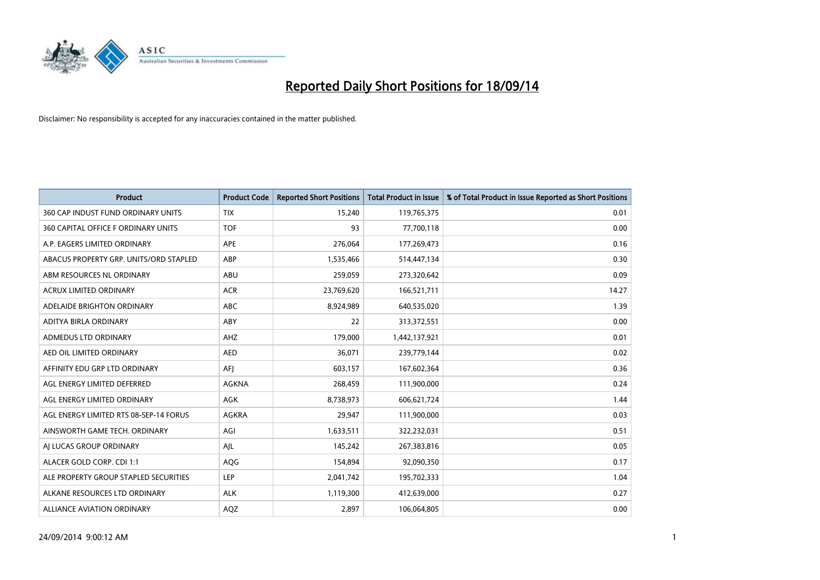

| <b>Product</b>                         | <b>Product Code</b> | <b>Reported Short Positions</b> | <b>Total Product in Issue</b> | % of Total Product in Issue Reported as Short Positions |
|----------------------------------------|---------------------|---------------------------------|-------------------------------|---------------------------------------------------------|
| 360 CAP INDUST FUND ORDINARY UNITS     | <b>TIX</b>          | 15,240                          | 119,765,375                   | 0.01                                                    |
| 360 CAPITAL OFFICE F ORDINARY UNITS    | <b>TOF</b>          | 93                              | 77,700,118                    | 0.00                                                    |
| A.P. EAGERS LIMITED ORDINARY           | APE                 | 276,064                         | 177,269,473                   | 0.16                                                    |
| ABACUS PROPERTY GRP. UNITS/ORD STAPLED | ABP                 | 1,535,466                       | 514,447,134                   | 0.30                                                    |
| ABM RESOURCES NL ORDINARY              | ABU                 | 259,059                         | 273,320,642                   | 0.09                                                    |
| ACRUX LIMITED ORDINARY                 | <b>ACR</b>          | 23,769,620                      | 166,521,711                   | 14.27                                                   |
| ADELAIDE BRIGHTON ORDINARY             | <b>ABC</b>          | 8,924,989                       | 640,535,020                   | 1.39                                                    |
| ADITYA BIRLA ORDINARY                  | ABY                 | 22                              | 313,372,551                   | 0.00                                                    |
| ADMEDUS LTD ORDINARY                   | AHZ                 | 179,000                         | 1,442,137,921                 | 0.01                                                    |
| AED OIL LIMITED ORDINARY               | <b>AED</b>          | 36,071                          | 239,779,144                   | 0.02                                                    |
| AFFINITY EDU GRP LTD ORDINARY          | AFJ                 | 603,157                         | 167,602,364                   | 0.36                                                    |
| AGL ENERGY LIMITED DEFERRED            | AGKNA               | 268,459                         | 111,900,000                   | 0.24                                                    |
| AGL ENERGY LIMITED ORDINARY            | <b>AGK</b>          | 8,738,973                       | 606,621,724                   | 1.44                                                    |
| AGL ENERGY LIMITED RTS 08-SEP-14 FORUS | <b>AGKRA</b>        | 29,947                          | 111,900,000                   | 0.03                                                    |
| AINSWORTH GAME TECH. ORDINARY          | AGI                 | 1,633,511                       | 322,232,031                   | 0.51                                                    |
| AJ LUCAS GROUP ORDINARY                | AJL                 | 145,242                         | 267,383,816                   | 0.05                                                    |
| ALACER GOLD CORP. CDI 1:1              | AQG                 | 154,894                         | 92,090,350                    | 0.17                                                    |
| ALE PROPERTY GROUP STAPLED SECURITIES  | <b>LEP</b>          | 2,041,742                       | 195,702,333                   | 1.04                                                    |
| ALKANE RESOURCES LTD ORDINARY          | <b>ALK</b>          | 1,119,300                       | 412,639,000                   | 0.27                                                    |
| ALLIANCE AVIATION ORDINARY             | AQZ                 | 2,897                           | 106,064,805                   | 0.00                                                    |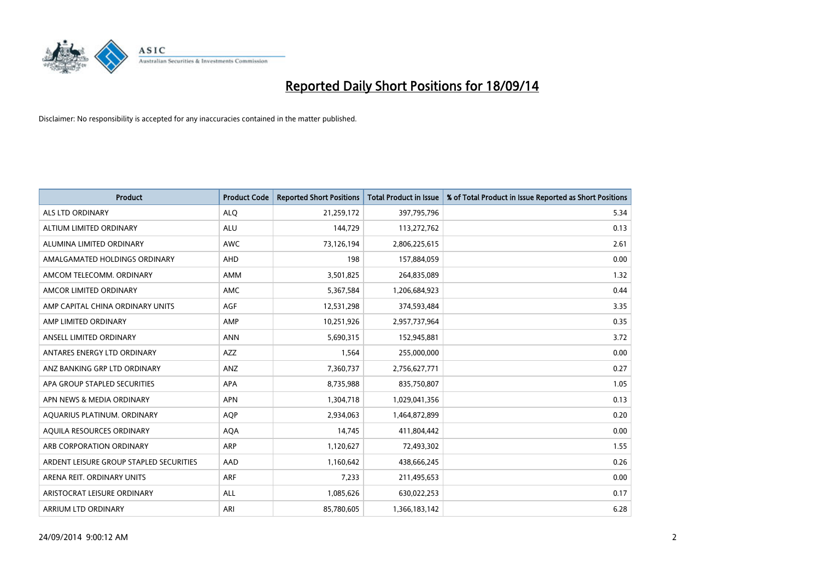

| <b>Product</b>                          | <b>Product Code</b> | <b>Reported Short Positions</b> | <b>Total Product in Issue</b> | % of Total Product in Issue Reported as Short Positions |
|-----------------------------------------|---------------------|---------------------------------|-------------------------------|---------------------------------------------------------|
| <b>ALS LTD ORDINARY</b>                 | <b>ALQ</b>          | 21,259,172                      | 397,795,796                   | 5.34                                                    |
| ALTIUM LIMITED ORDINARY                 | <b>ALU</b>          | 144,729                         | 113,272,762                   | 0.13                                                    |
| ALUMINA LIMITED ORDINARY                | <b>AWC</b>          | 73,126,194                      | 2,806,225,615                 | 2.61                                                    |
| AMALGAMATED HOLDINGS ORDINARY           | <b>AHD</b>          | 198                             | 157,884,059                   | 0.00                                                    |
| AMCOM TELECOMM, ORDINARY                | <b>AMM</b>          | 3,501,825                       | 264,835,089                   | 1.32                                                    |
| AMCOR LIMITED ORDINARY                  | AMC                 | 5,367,584                       | 1,206,684,923                 | 0.44                                                    |
| AMP CAPITAL CHINA ORDINARY UNITS        | AGF                 | 12,531,298                      | 374,593,484                   | 3.35                                                    |
| AMP LIMITED ORDINARY                    | AMP                 | 10,251,926                      | 2,957,737,964                 | 0.35                                                    |
| ANSELL LIMITED ORDINARY                 | <b>ANN</b>          | 5,690,315                       | 152,945,881                   | 3.72                                                    |
| ANTARES ENERGY LTD ORDINARY             | AZZ                 | 1,564                           | 255,000,000                   | 0.00                                                    |
| ANZ BANKING GRP LTD ORDINARY            | ANZ                 | 7,360,737                       | 2,756,627,771                 | 0.27                                                    |
| APA GROUP STAPLED SECURITIES            | APA                 | 8,735,988                       | 835,750,807                   | 1.05                                                    |
| APN NEWS & MEDIA ORDINARY               | <b>APN</b>          | 1,304,718                       | 1,029,041,356                 | 0.13                                                    |
| AQUARIUS PLATINUM. ORDINARY             | <b>AOP</b>          | 2,934,063                       | 1,464,872,899                 | 0.20                                                    |
| AQUILA RESOURCES ORDINARY               | <b>AQA</b>          | 14,745                          | 411,804,442                   | 0.00                                                    |
| ARB CORPORATION ORDINARY                | ARP                 | 1,120,627                       | 72,493,302                    | 1.55                                                    |
| ARDENT LEISURE GROUP STAPLED SECURITIES | AAD                 | 1,160,642                       | 438,666,245                   | 0.26                                                    |
| ARENA REIT. ORDINARY UNITS              | <b>ARF</b>          | 7,233                           | 211,495,653                   | 0.00                                                    |
| ARISTOCRAT LEISURE ORDINARY             | <b>ALL</b>          | 1,085,626                       | 630,022,253                   | 0.17                                                    |
| ARRIUM LTD ORDINARY                     | ARI                 | 85,780,605                      | 1,366,183,142                 | 6.28                                                    |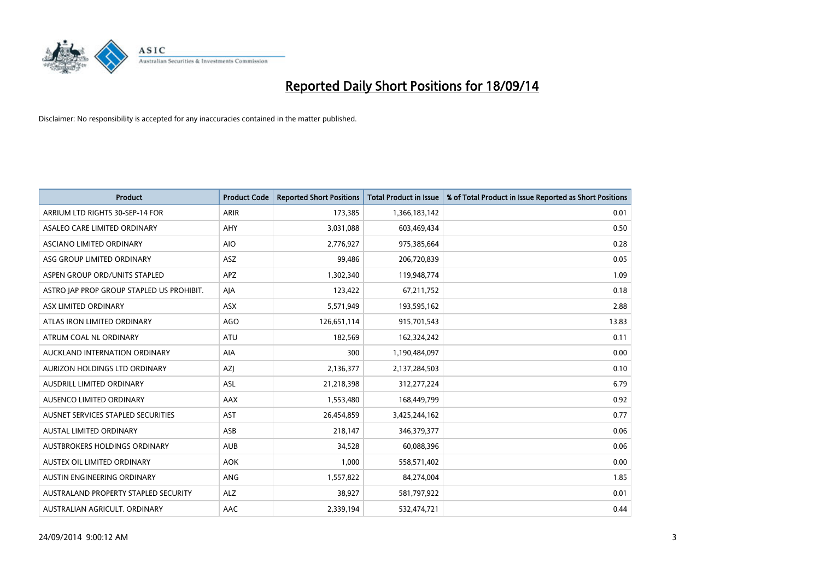

| <b>Product</b>                            | <b>Product Code</b> | <b>Reported Short Positions</b> | <b>Total Product in Issue</b> | % of Total Product in Issue Reported as Short Positions |
|-------------------------------------------|---------------------|---------------------------------|-------------------------------|---------------------------------------------------------|
| ARRIUM LTD RIGHTS 30-SEP-14 FOR           | ARIR                | 173,385                         | 1,366,183,142                 | 0.01                                                    |
| ASALEO CARE LIMITED ORDINARY              | <b>AHY</b>          | 3,031,088                       | 603,469,434                   | 0.50                                                    |
| ASCIANO LIMITED ORDINARY                  | <b>AIO</b>          | 2,776,927                       | 975,385,664                   | 0.28                                                    |
| ASG GROUP LIMITED ORDINARY                | <b>ASZ</b>          | 99,486                          | 206,720,839                   | 0.05                                                    |
| ASPEN GROUP ORD/UNITS STAPLED             | <b>APZ</b>          | 1,302,340                       | 119,948,774                   | 1.09                                                    |
| ASTRO JAP PROP GROUP STAPLED US PROHIBIT. | AJA                 | 123,422                         | 67,211,752                    | 0.18                                                    |
| ASX LIMITED ORDINARY                      | ASX                 | 5,571,949                       | 193,595,162                   | 2.88                                                    |
| ATLAS IRON LIMITED ORDINARY               | <b>AGO</b>          | 126,651,114                     | 915,701,543                   | 13.83                                                   |
| ATRUM COAL NL ORDINARY                    | <b>ATU</b>          | 182,569                         | 162,324,242                   | 0.11                                                    |
| AUCKLAND INTERNATION ORDINARY             | <b>AIA</b>          | 300                             | 1,190,484,097                 | 0.00                                                    |
| AURIZON HOLDINGS LTD ORDINARY             | AZJ                 | 2,136,377                       | 2,137,284,503                 | 0.10                                                    |
| AUSDRILL LIMITED ORDINARY                 | ASL                 | 21,218,398                      | 312,277,224                   | 6.79                                                    |
| <b>AUSENCO LIMITED ORDINARY</b>           | AAX                 | 1,553,480                       | 168,449,799                   | 0.92                                                    |
| AUSNET SERVICES STAPLED SECURITIES        | <b>AST</b>          | 26,454,859                      | 3,425,244,162                 | 0.77                                                    |
| <b>AUSTAL LIMITED ORDINARY</b>            | ASB                 | 218,147                         | 346,379,377                   | 0.06                                                    |
| AUSTBROKERS HOLDINGS ORDINARY             | <b>AUB</b>          | 34,528                          | 60,088,396                    | 0.06                                                    |
| AUSTEX OIL LIMITED ORDINARY               | <b>AOK</b>          | 1,000                           | 558,571,402                   | 0.00                                                    |
| AUSTIN ENGINEERING ORDINARY               | ANG                 | 1,557,822                       | 84,274,004                    | 1.85                                                    |
| AUSTRALAND PROPERTY STAPLED SECURITY      | <b>ALZ</b>          | 38,927                          | 581,797,922                   | 0.01                                                    |
| AUSTRALIAN AGRICULT, ORDINARY             | AAC                 | 2,339,194                       | 532,474,721                   | 0.44                                                    |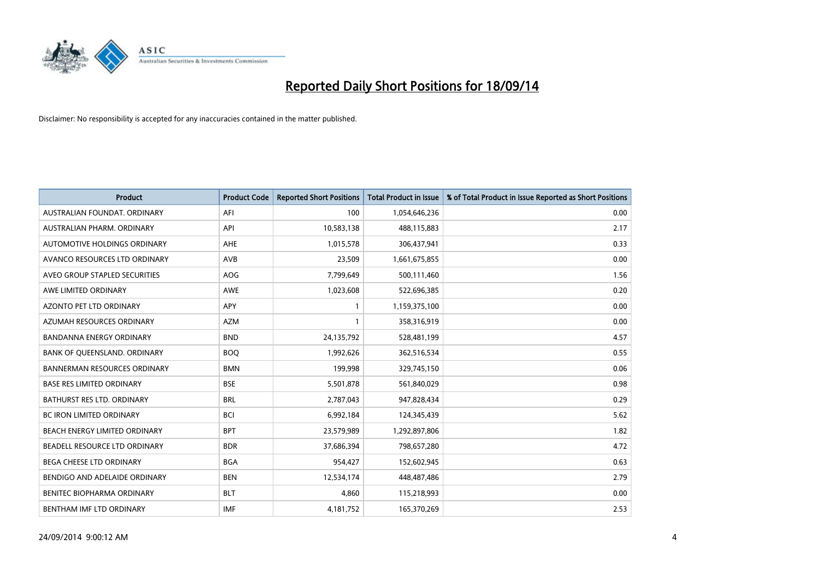

| <b>Product</b>                      | <b>Product Code</b> | <b>Reported Short Positions</b> | <b>Total Product in Issue</b> | % of Total Product in Issue Reported as Short Positions |
|-------------------------------------|---------------------|---------------------------------|-------------------------------|---------------------------------------------------------|
| AUSTRALIAN FOUNDAT, ORDINARY        | AFI                 | 100                             | 1,054,646,236                 | 0.00                                                    |
| AUSTRALIAN PHARM. ORDINARY          | API                 | 10,583,138                      | 488,115,883                   | 2.17                                                    |
| AUTOMOTIVE HOLDINGS ORDINARY        | AHE                 | 1,015,578                       | 306,437,941                   | 0.33                                                    |
| AVANCO RESOURCES LTD ORDINARY       | AVB                 | 23,509                          | 1,661,675,855                 | 0.00                                                    |
| AVEO GROUP STAPLED SECURITIES       | AOG                 | 7,799,649                       | 500,111,460                   | 1.56                                                    |
| AWE LIMITED ORDINARY                | <b>AWE</b>          | 1,023,608                       | 522,696,385                   | 0.20                                                    |
| AZONTO PET LTD ORDINARY             | <b>APY</b>          | $\mathbf{1}$                    | 1,159,375,100                 | 0.00                                                    |
| AZUMAH RESOURCES ORDINARY           | <b>AZM</b>          | $\mathbf{1}$                    | 358,316,919                   | 0.00                                                    |
| <b>BANDANNA ENERGY ORDINARY</b>     | <b>BND</b>          | 24,135,792                      | 528,481,199                   | 4.57                                                    |
| BANK OF QUEENSLAND. ORDINARY        | <b>BOQ</b>          | 1,992,626                       | 362,516,534                   | 0.55                                                    |
| <b>BANNERMAN RESOURCES ORDINARY</b> | <b>BMN</b>          | 199,998                         | 329,745,150                   | 0.06                                                    |
| <b>BASE RES LIMITED ORDINARY</b>    | <b>BSE</b>          | 5,501,878                       | 561,840,029                   | 0.98                                                    |
| BATHURST RES LTD. ORDINARY          | <b>BRL</b>          | 2,787,043                       | 947,828,434                   | 0.29                                                    |
| <b>BC IRON LIMITED ORDINARY</b>     | <b>BCI</b>          | 6,992,184                       | 124,345,439                   | 5.62                                                    |
| BEACH ENERGY LIMITED ORDINARY       | <b>BPT</b>          | 23,579,989                      | 1,292,897,806                 | 1.82                                                    |
| BEADELL RESOURCE LTD ORDINARY       | <b>BDR</b>          | 37,686,394                      | 798,657,280                   | 4.72                                                    |
| BEGA CHEESE LTD ORDINARY            | <b>BGA</b>          | 954,427                         | 152,602,945                   | 0.63                                                    |
| BENDIGO AND ADELAIDE ORDINARY       | <b>BEN</b>          | 12,534,174                      | 448,487,486                   | 2.79                                                    |
| BENITEC BIOPHARMA ORDINARY          | <b>BLT</b>          | 4,860                           | 115,218,993                   | 0.00                                                    |
| BENTHAM IMF LTD ORDINARY            | <b>IMF</b>          | 4,181,752                       | 165,370,269                   | 2.53                                                    |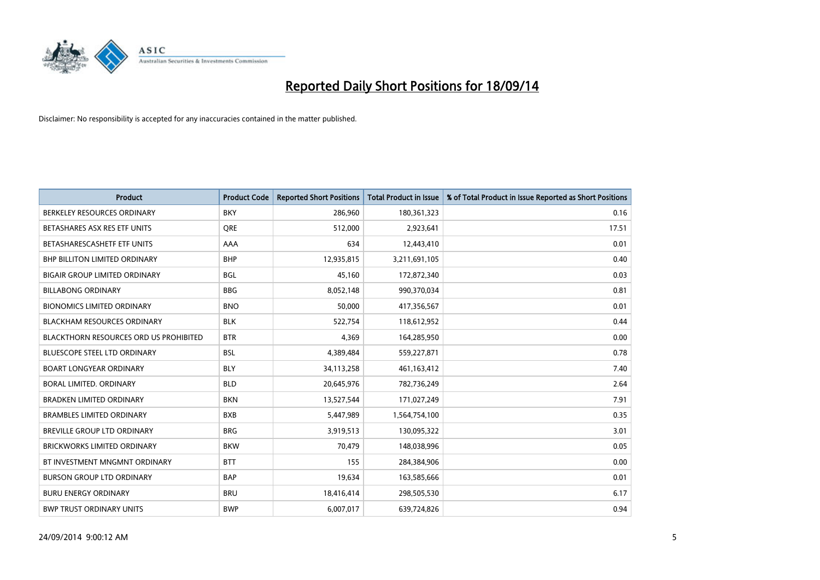

| Product                                       | <b>Product Code</b> | <b>Reported Short Positions</b> | <b>Total Product in Issue</b> | % of Total Product in Issue Reported as Short Positions |
|-----------------------------------------------|---------------------|---------------------------------|-------------------------------|---------------------------------------------------------|
| BERKELEY RESOURCES ORDINARY                   | <b>BKY</b>          | 286,960                         | 180,361,323                   | 0.16                                                    |
| BETASHARES ASX RES ETF UNITS                  | <b>ORE</b>          | 512,000                         | 2,923,641                     | 17.51                                                   |
| BETASHARESCASHETF ETF UNITS                   | AAA                 | 634                             | 12,443,410                    | 0.01                                                    |
| <b>BHP BILLITON LIMITED ORDINARY</b>          | <b>BHP</b>          | 12,935,815                      | 3,211,691,105                 | 0.40                                                    |
| <b>BIGAIR GROUP LIMITED ORDINARY</b>          | <b>BGL</b>          | 45,160                          | 172,872,340                   | 0.03                                                    |
| <b>BILLABONG ORDINARY</b>                     | <b>BBG</b>          | 8,052,148                       | 990,370,034                   | 0.81                                                    |
| <b>BIONOMICS LIMITED ORDINARY</b>             | <b>BNO</b>          | 50,000                          | 417,356,567                   | 0.01                                                    |
| <b>BLACKHAM RESOURCES ORDINARY</b>            | <b>BLK</b>          | 522,754                         | 118,612,952                   | 0.44                                                    |
| <b>BLACKTHORN RESOURCES ORD US PROHIBITED</b> | <b>BTR</b>          | 4,369                           | 164,285,950                   | 0.00                                                    |
| <b>BLUESCOPE STEEL LTD ORDINARY</b>           | <b>BSL</b>          | 4,389,484                       | 559,227,871                   | 0.78                                                    |
| <b>BOART LONGYEAR ORDINARY</b>                | <b>BLY</b>          | 34,113,258                      | 461,163,412                   | 7.40                                                    |
| BORAL LIMITED, ORDINARY                       | <b>BLD</b>          | 20,645,976                      | 782,736,249                   | 2.64                                                    |
| <b>BRADKEN LIMITED ORDINARY</b>               | <b>BKN</b>          | 13,527,544                      | 171,027,249                   | 7.91                                                    |
| <b>BRAMBLES LIMITED ORDINARY</b>              | <b>BXB</b>          | 5,447,989                       | 1,564,754,100                 | 0.35                                                    |
| <b>BREVILLE GROUP LTD ORDINARY</b>            | <b>BRG</b>          | 3,919,513                       | 130,095,322                   | 3.01                                                    |
| <b>BRICKWORKS LIMITED ORDINARY</b>            | <b>BKW</b>          | 70,479                          | 148,038,996                   | 0.05                                                    |
| BT INVESTMENT MNGMNT ORDINARY                 | <b>BTT</b>          | 155                             | 284,384,906                   | 0.00                                                    |
| <b>BURSON GROUP LTD ORDINARY</b>              | <b>BAP</b>          | 19,634                          | 163,585,666                   | 0.01                                                    |
| <b>BURU ENERGY ORDINARY</b>                   | <b>BRU</b>          | 18,416,414                      | 298,505,530                   | 6.17                                                    |
| <b>BWP TRUST ORDINARY UNITS</b>               | <b>BWP</b>          | 6,007,017                       | 639,724,826                   | 0.94                                                    |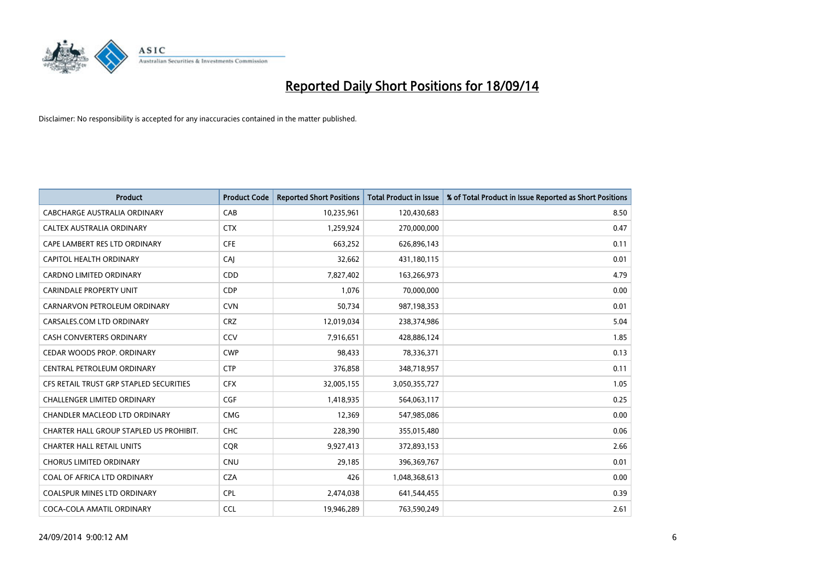

| <b>Product</b>                          | <b>Product Code</b> | <b>Reported Short Positions</b> | <b>Total Product in Issue</b> | % of Total Product in Issue Reported as Short Positions |
|-----------------------------------------|---------------------|---------------------------------|-------------------------------|---------------------------------------------------------|
| <b>CABCHARGE AUSTRALIA ORDINARY</b>     | CAB                 | 10,235,961                      | 120,430,683                   | 8.50                                                    |
| CALTEX AUSTRALIA ORDINARY               | <b>CTX</b>          | 1,259,924                       | 270,000,000                   | 0.47                                                    |
| CAPE LAMBERT RES LTD ORDINARY           | <b>CFE</b>          | 663,252                         | 626,896,143                   | 0.11                                                    |
| <b>CAPITOL HEALTH ORDINARY</b>          | CAJ                 | 32,662                          | 431,180,115                   | 0.01                                                    |
| <b>CARDNO LIMITED ORDINARY</b>          | CDD                 | 7,827,402                       | 163,266,973                   | 4.79                                                    |
| <b>CARINDALE PROPERTY UNIT</b>          | <b>CDP</b>          | 1,076                           | 70,000,000                    | 0.00                                                    |
| CARNARVON PETROLEUM ORDINARY            | <b>CVN</b>          | 50,734                          | 987,198,353                   | 0.01                                                    |
| CARSALES.COM LTD ORDINARY               | <b>CRZ</b>          | 12,019,034                      | 238,374,986                   | 5.04                                                    |
| <b>CASH CONVERTERS ORDINARY</b>         | CCV                 | 7,916,651                       | 428,886,124                   | 1.85                                                    |
| CEDAR WOODS PROP. ORDINARY              | <b>CWP</b>          | 98,433                          | 78,336,371                    | 0.13                                                    |
| CENTRAL PETROLEUM ORDINARY              | <b>CTP</b>          | 376,858                         | 348,718,957                   | 0.11                                                    |
| CFS RETAIL TRUST GRP STAPLED SECURITIES | <b>CFX</b>          | 32,005,155                      | 3,050,355,727                 | 1.05                                                    |
| <b>CHALLENGER LIMITED ORDINARY</b>      | <b>CGF</b>          | 1,418,935                       | 564,063,117                   | 0.25                                                    |
| CHANDLER MACLEOD LTD ORDINARY           | <b>CMG</b>          | 12,369                          | 547,985,086                   | 0.00                                                    |
| CHARTER HALL GROUP STAPLED US PROHIBIT. | CHC                 | 228,390                         | 355,015,480                   | 0.06                                                    |
| <b>CHARTER HALL RETAIL UNITS</b>        | <b>COR</b>          | 9,927,413                       | 372,893,153                   | 2.66                                                    |
| <b>CHORUS LIMITED ORDINARY</b>          | <b>CNU</b>          | 29,185                          | 396,369,767                   | 0.01                                                    |
| COAL OF AFRICA LTD ORDINARY             | <b>CZA</b>          | 426                             | 1,048,368,613                 | 0.00                                                    |
| <b>COALSPUR MINES LTD ORDINARY</b>      | <b>CPL</b>          | 2,474,038                       | 641,544,455                   | 0.39                                                    |
| COCA-COLA AMATIL ORDINARY               | <b>CCL</b>          | 19,946,289                      | 763,590,249                   | 2.61                                                    |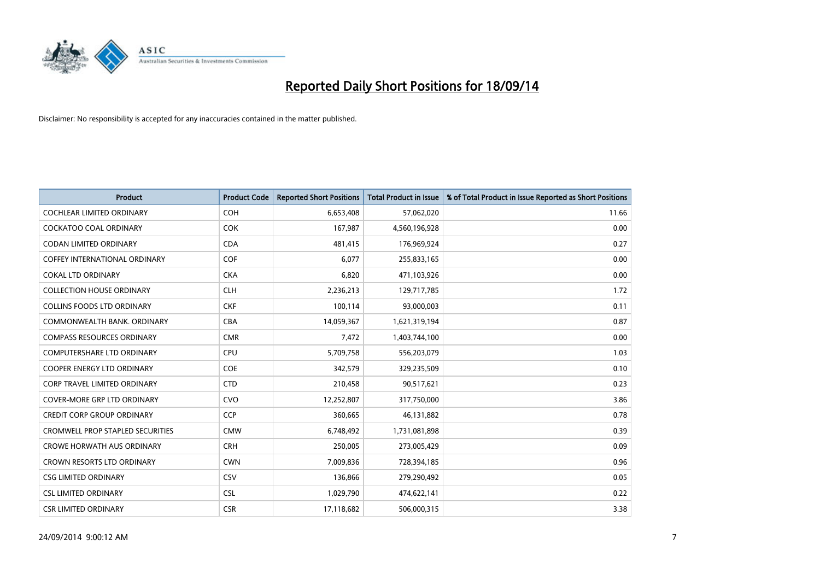

| <b>Product</b>                          | <b>Product Code</b> | <b>Reported Short Positions</b> | <b>Total Product in Issue</b> | % of Total Product in Issue Reported as Short Positions |
|-----------------------------------------|---------------------|---------------------------------|-------------------------------|---------------------------------------------------------|
| <b>COCHLEAR LIMITED ORDINARY</b>        | <b>COH</b>          | 6,653,408                       | 57,062,020                    | 11.66                                                   |
| COCKATOO COAL ORDINARY                  | <b>COK</b>          | 167,987                         | 4,560,196,928                 | 0.00                                                    |
| <b>CODAN LIMITED ORDINARY</b>           | <b>CDA</b>          | 481,415                         | 176,969,924                   | 0.27                                                    |
| <b>COFFEY INTERNATIONAL ORDINARY</b>    | <b>COF</b>          | 6,077                           | 255,833,165                   | 0.00                                                    |
| <b>COKAL LTD ORDINARY</b>               | <b>CKA</b>          | 6,820                           | 471,103,926                   | 0.00                                                    |
| <b>COLLECTION HOUSE ORDINARY</b>        | <b>CLH</b>          | 2,236,213                       | 129,717,785                   | 1.72                                                    |
| <b>COLLINS FOODS LTD ORDINARY</b>       | <b>CKF</b>          | 100,114                         | 93,000,003                    | 0.11                                                    |
| COMMONWEALTH BANK, ORDINARY             | <b>CBA</b>          | 14,059,367                      | 1,621,319,194                 | 0.87                                                    |
| <b>COMPASS RESOURCES ORDINARY</b>       | <b>CMR</b>          | 7,472                           | 1,403,744,100                 | 0.00                                                    |
| <b>COMPUTERSHARE LTD ORDINARY</b>       | <b>CPU</b>          | 5,709,758                       | 556,203,079                   | 1.03                                                    |
| COOPER ENERGY LTD ORDINARY              | <b>COE</b>          | 342,579                         | 329,235,509                   | 0.10                                                    |
| <b>CORP TRAVEL LIMITED ORDINARY</b>     | <b>CTD</b>          | 210,458                         | 90,517,621                    | 0.23                                                    |
| COVER-MORE GRP LTD ORDINARY             | <b>CVO</b>          | 12,252,807                      | 317,750,000                   | 3.86                                                    |
| <b>CREDIT CORP GROUP ORDINARY</b>       | <b>CCP</b>          | 360,665                         | 46,131,882                    | 0.78                                                    |
| <b>CROMWELL PROP STAPLED SECURITIES</b> | <b>CMW</b>          | 6,748,492                       | 1,731,081,898                 | 0.39                                                    |
| <b>CROWE HORWATH AUS ORDINARY</b>       | <b>CRH</b>          | 250,005                         | 273,005,429                   | 0.09                                                    |
| CROWN RESORTS LTD ORDINARY              | <b>CWN</b>          | 7,009,836                       | 728,394,185                   | 0.96                                                    |
| <b>CSG LIMITED ORDINARY</b>             | CSV                 | 136,866                         | 279,290,492                   | 0.05                                                    |
| <b>CSL LIMITED ORDINARY</b>             | <b>CSL</b>          | 1,029,790                       | 474,622,141                   | 0.22                                                    |
| <b>CSR LIMITED ORDINARY</b>             | <b>CSR</b>          | 17,118,682                      | 506,000,315                   | 3.38                                                    |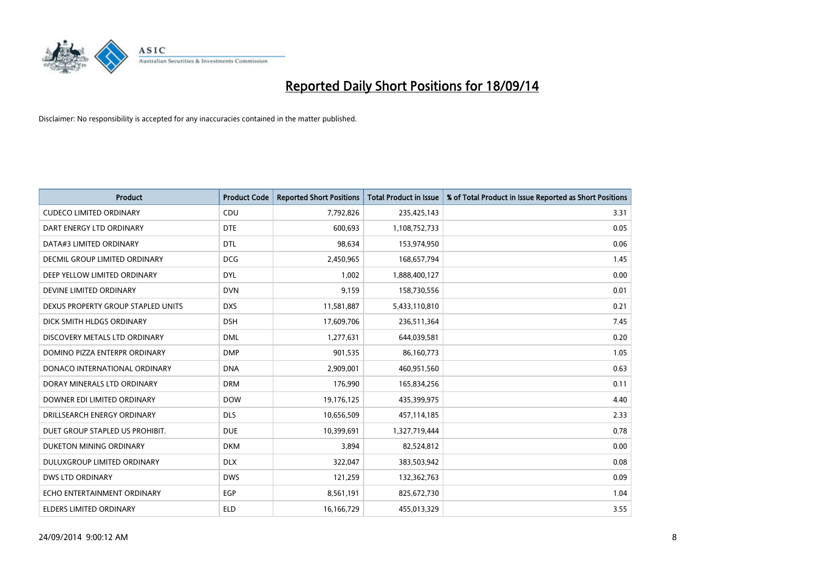

| <b>Product</b>                     | <b>Product Code</b> | <b>Reported Short Positions</b> | <b>Total Product in Issue</b> | % of Total Product in Issue Reported as Short Positions |
|------------------------------------|---------------------|---------------------------------|-------------------------------|---------------------------------------------------------|
| <b>CUDECO LIMITED ORDINARY</b>     | CDU                 | 7,792,826                       | 235,425,143                   | 3.31                                                    |
| DART ENERGY LTD ORDINARY           | <b>DTE</b>          | 600,693                         | 1,108,752,733                 | 0.05                                                    |
| DATA#3 LIMITED ORDINARY            | <b>DTL</b>          | 98,634                          | 153,974,950                   | 0.06                                                    |
| DECMIL GROUP LIMITED ORDINARY      | <b>DCG</b>          | 2,450,965                       | 168,657,794                   | 1.45                                                    |
| DEEP YELLOW LIMITED ORDINARY       | <b>DYL</b>          | 1,002                           | 1,888,400,127                 | 0.00                                                    |
| DEVINE LIMITED ORDINARY            | <b>DVN</b>          | 9,159                           | 158,730,556                   | 0.01                                                    |
| DEXUS PROPERTY GROUP STAPLED UNITS | <b>DXS</b>          | 11,581,887                      | 5,433,110,810                 | 0.21                                                    |
| DICK SMITH HLDGS ORDINARY          | <b>DSH</b>          | 17,609,706                      | 236,511,364                   | 7.45                                                    |
| DISCOVERY METALS LTD ORDINARY      | <b>DML</b>          | 1,277,631                       | 644,039,581                   | 0.20                                                    |
| DOMINO PIZZA ENTERPR ORDINARY      | <b>DMP</b>          | 901,535                         | 86,160,773                    | 1.05                                                    |
| DONACO INTERNATIONAL ORDINARY      | <b>DNA</b>          | 2,909,001                       | 460,951,560                   | 0.63                                                    |
| DORAY MINERALS LTD ORDINARY        | <b>DRM</b>          | 176,990                         | 165,834,256                   | 0.11                                                    |
| DOWNER EDI LIMITED ORDINARY        | <b>DOW</b>          | 19,176,125                      | 435,399,975                   | 4.40                                                    |
| DRILLSEARCH ENERGY ORDINARY        | <b>DLS</b>          | 10,656,509                      | 457,114,185                   | 2.33                                                    |
| DUET GROUP STAPLED US PROHIBIT.    | <b>DUE</b>          | 10,399,691                      | 1,327,719,444                 | 0.78                                                    |
| DUKETON MINING ORDINARY            | <b>DKM</b>          | 3,894                           | 82,524,812                    | 0.00                                                    |
| DULUXGROUP LIMITED ORDINARY        | <b>DLX</b>          | 322,047                         | 383,503,942                   | 0.08                                                    |
| <b>DWS LTD ORDINARY</b>            | <b>DWS</b>          | 121,259                         | 132,362,763                   | 0.09                                                    |
| ECHO ENTERTAINMENT ORDINARY        | <b>EGP</b>          | 8,561,191                       | 825,672,730                   | 1.04                                                    |
| ELDERS LIMITED ORDINARY            | <b>ELD</b>          | 16,166,729                      | 455,013,329                   | 3.55                                                    |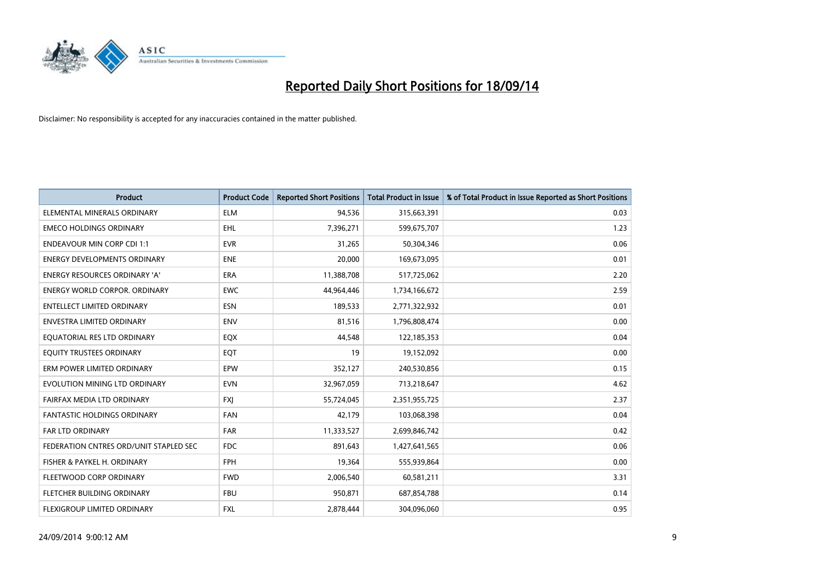

| <b>Product</b>                         | <b>Product Code</b> | <b>Reported Short Positions</b> | <b>Total Product in Issue</b> | % of Total Product in Issue Reported as Short Positions |
|----------------------------------------|---------------------|---------------------------------|-------------------------------|---------------------------------------------------------|
| ELEMENTAL MINERALS ORDINARY            | <b>ELM</b>          | 94,536                          | 315,663,391                   | 0.03                                                    |
| <b>EMECO HOLDINGS ORDINARY</b>         | <b>EHL</b>          | 7,396,271                       | 599,675,707                   | 1.23                                                    |
| <b>ENDEAVOUR MIN CORP CDI 1:1</b>      | <b>EVR</b>          | 31,265                          | 50,304,346                    | 0.06                                                    |
| ENERGY DEVELOPMENTS ORDINARY           | <b>ENE</b>          | 20,000                          | 169,673,095                   | 0.01                                                    |
| <b>ENERGY RESOURCES ORDINARY 'A'</b>   | ERA                 | 11,388,708                      | 517,725,062                   | 2.20                                                    |
| <b>ENERGY WORLD CORPOR, ORDINARY</b>   | <b>EWC</b>          | 44,964,446                      | 1,734,166,672                 | 2.59                                                    |
| <b>ENTELLECT LIMITED ORDINARY</b>      | <b>ESN</b>          | 189,533                         | 2,771,322,932                 | 0.01                                                    |
| ENVESTRA LIMITED ORDINARY              | <b>ENV</b>          | 81,516                          | 1,796,808,474                 | 0.00                                                    |
| EQUATORIAL RES LTD ORDINARY            | EQX                 | 44,548                          | 122,185,353                   | 0.04                                                    |
| EQUITY TRUSTEES ORDINARY               | EQT                 | 19                              | 19,152,092                    | 0.00                                                    |
| ERM POWER LIMITED ORDINARY             | EPW                 | 352,127                         | 240,530,856                   | 0.15                                                    |
| EVOLUTION MINING LTD ORDINARY          | <b>EVN</b>          | 32,967,059                      | 713,218,647                   | 4.62                                                    |
| FAIRFAX MEDIA LTD ORDINARY             | <b>FXI</b>          | 55,724,045                      | 2,351,955,725                 | 2.37                                                    |
| <b>FANTASTIC HOLDINGS ORDINARY</b>     | <b>FAN</b>          | 42,179                          | 103,068,398                   | 0.04                                                    |
| <b>FAR LTD ORDINARY</b>                | <b>FAR</b>          | 11,333,527                      | 2,699,846,742                 | 0.42                                                    |
| FEDERATION CNTRES ORD/UNIT STAPLED SEC | <b>FDC</b>          | 891,643                         | 1,427,641,565                 | 0.06                                                    |
| FISHER & PAYKEL H. ORDINARY            | FPH                 | 19,364                          | 555,939,864                   | 0.00                                                    |
| FLEETWOOD CORP ORDINARY                | <b>FWD</b>          | 2,006,540                       | 60,581,211                    | 3.31                                                    |
| FLETCHER BUILDING ORDINARY             | <b>FBU</b>          | 950,871                         | 687,854,788                   | 0.14                                                    |
| FLEXIGROUP LIMITED ORDINARY            | FXL                 | 2,878,444                       | 304,096,060                   | 0.95                                                    |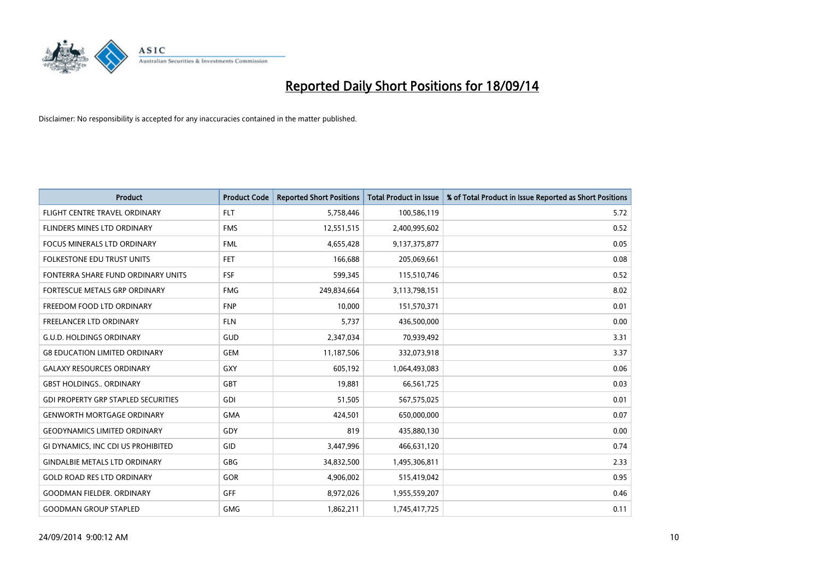

| <b>Product</b>                             | <b>Product Code</b> | <b>Reported Short Positions</b> | <b>Total Product in Issue</b> | % of Total Product in Issue Reported as Short Positions |
|--------------------------------------------|---------------------|---------------------------------|-------------------------------|---------------------------------------------------------|
| FLIGHT CENTRE TRAVEL ORDINARY              | <b>FLT</b>          | 5,758,446                       | 100,586,119                   | 5.72                                                    |
| FLINDERS MINES LTD ORDINARY                | <b>FMS</b>          | 12,551,515                      | 2,400,995,602                 | 0.52                                                    |
| <b>FOCUS MINERALS LTD ORDINARY</b>         | <b>FML</b>          | 4,655,428                       | 9,137,375,877                 | 0.05                                                    |
| FOLKESTONE EDU TRUST UNITS                 | FET.                | 166,688                         | 205,069,661                   | 0.08                                                    |
| FONTERRA SHARE FUND ORDINARY UNITS         | <b>FSF</b>          | 599,345                         | 115,510,746                   | 0.52                                                    |
| FORTESCUE METALS GRP ORDINARY              | <b>FMG</b>          | 249,834,664                     | 3,113,798,151                 | 8.02                                                    |
| FREEDOM FOOD LTD ORDINARY                  | <b>FNP</b>          | 10,000                          | 151,570,371                   | 0.01                                                    |
| FREELANCER LTD ORDINARY                    | <b>FLN</b>          | 5,737                           | 436,500,000                   | 0.00                                                    |
| <b>G.U.D. HOLDINGS ORDINARY</b>            | GUD                 | 2,347,034                       | 70,939,492                    | 3.31                                                    |
| <b>G8 EDUCATION LIMITED ORDINARY</b>       | <b>GEM</b>          | 11,187,506                      | 332,073,918                   | 3.37                                                    |
| <b>GALAXY RESOURCES ORDINARY</b>           | GXY                 | 605,192                         | 1,064,493,083                 | 0.06                                                    |
| <b>GBST HOLDINGS., ORDINARY</b>            | GBT                 | 19,881                          | 66,561,725                    | 0.03                                                    |
| <b>GDI PROPERTY GRP STAPLED SECURITIES</b> | GDI                 | 51,505                          | 567,575,025                   | 0.01                                                    |
| <b>GENWORTH MORTGAGE ORDINARY</b>          | <b>GMA</b>          | 424,501                         | 650,000,000                   | 0.07                                                    |
| <b>GEODYNAMICS LIMITED ORDINARY</b>        | GDY                 | 819                             | 435,880,130                   | 0.00                                                    |
| GI DYNAMICS, INC CDI US PROHIBITED         | GID                 | 3,447,996                       | 466,631,120                   | 0.74                                                    |
| <b>GINDALBIE METALS LTD ORDINARY</b>       | GBG                 | 34,832,500                      | 1,495,306,811                 | 2.33                                                    |
| <b>GOLD ROAD RES LTD ORDINARY</b>          | GOR                 | 4,906,002                       | 515,419,042                   | 0.95                                                    |
| <b>GOODMAN FIELDER, ORDINARY</b>           | <b>GFF</b>          | 8,972,026                       | 1,955,559,207                 | 0.46                                                    |
| <b>GOODMAN GROUP STAPLED</b>               | <b>GMG</b>          | 1,862,211                       | 1,745,417,725                 | 0.11                                                    |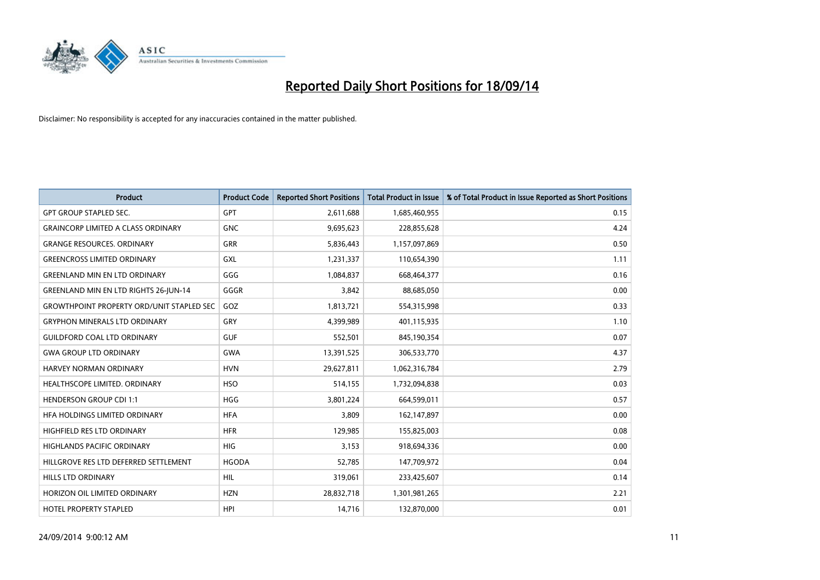

| <b>Product</b>                                   | <b>Product Code</b> | <b>Reported Short Positions</b> | <b>Total Product in Issue</b> | % of Total Product in Issue Reported as Short Positions |
|--------------------------------------------------|---------------------|---------------------------------|-------------------------------|---------------------------------------------------------|
| <b>GPT GROUP STAPLED SEC.</b>                    | <b>GPT</b>          | 2,611,688                       | 1,685,460,955                 | 0.15                                                    |
| <b>GRAINCORP LIMITED A CLASS ORDINARY</b>        | <b>GNC</b>          | 9,695,623                       | 228,855,628                   | 4.24                                                    |
| <b>GRANGE RESOURCES, ORDINARY</b>                | <b>GRR</b>          | 5,836,443                       | 1,157,097,869                 | 0.50                                                    |
| <b>GREENCROSS LIMITED ORDINARY</b>               | GXL                 | 1,231,337                       | 110,654,390                   | 1.11                                                    |
| <b>GREENLAND MIN EN LTD ORDINARY</b>             | GGG                 | 1,084,837                       | 668,464,377                   | 0.16                                                    |
| <b>GREENLAND MIN EN LTD RIGHTS 26-JUN-14</b>     | GGGR                | 3,842                           | 88,685,050                    | 0.00                                                    |
| <b>GROWTHPOINT PROPERTY ORD/UNIT STAPLED SEC</b> | GOZ                 | 1,813,721                       | 554,315,998                   | 0.33                                                    |
| <b>GRYPHON MINERALS LTD ORDINARY</b>             | GRY                 | 4,399,989                       | 401,115,935                   | 1.10                                                    |
| <b>GUILDFORD COAL LTD ORDINARY</b>               | <b>GUF</b>          | 552,501                         | 845,190,354                   | 0.07                                                    |
| <b>GWA GROUP LTD ORDINARY</b>                    | <b>GWA</b>          | 13,391,525                      | 306,533,770                   | 4.37                                                    |
| HARVEY NORMAN ORDINARY                           | <b>HVN</b>          | 29,627,811                      | 1,062,316,784                 | 2.79                                                    |
| HEALTHSCOPE LIMITED. ORDINARY                    | <b>HSO</b>          | 514,155                         | 1,732,094,838                 | 0.03                                                    |
| <b>HENDERSON GROUP CDI 1:1</b>                   | <b>HGG</b>          | 3,801,224                       | 664,599,011                   | 0.57                                                    |
| HFA HOLDINGS LIMITED ORDINARY                    | <b>HFA</b>          | 3,809                           | 162,147,897                   | 0.00                                                    |
| HIGHFIELD RES LTD ORDINARY                       | <b>HFR</b>          | 129,985                         | 155,825,003                   | 0.08                                                    |
| HIGHLANDS PACIFIC ORDINARY                       | <b>HIG</b>          | 3,153                           | 918,694,336                   | 0.00                                                    |
| HILLGROVE RES LTD DEFERRED SETTLEMENT            | <b>HGODA</b>        | 52,785                          | 147,709,972                   | 0.04                                                    |
| HILLS LTD ORDINARY                               | <b>HIL</b>          | 319,061                         | 233,425,607                   | 0.14                                                    |
| HORIZON OIL LIMITED ORDINARY                     | <b>HZN</b>          | 28,832,718                      | 1,301,981,265                 | 2.21                                                    |
| <b>HOTEL PROPERTY STAPLED</b>                    | <b>HPI</b>          | 14,716                          | 132,870,000                   | 0.01                                                    |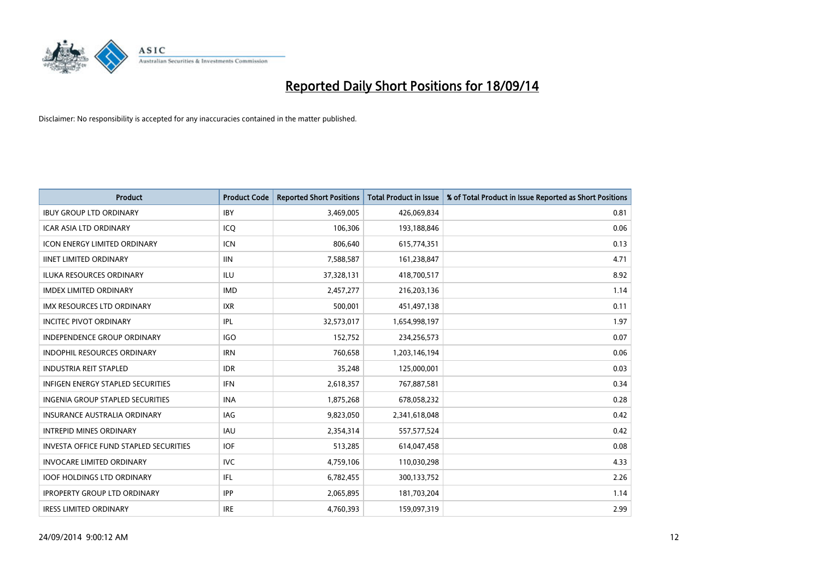

| <b>Product</b>                                | <b>Product Code</b> | <b>Reported Short Positions</b> | Total Product in Issue | % of Total Product in Issue Reported as Short Positions |
|-----------------------------------------------|---------------------|---------------------------------|------------------------|---------------------------------------------------------|
| <b>IBUY GROUP LTD ORDINARY</b>                | <b>IBY</b>          | 3,469,005                       | 426,069,834            | 0.81                                                    |
| ICAR ASIA LTD ORDINARY                        | ICQ                 | 106,306                         | 193,188,846            | 0.06                                                    |
| <b>ICON ENERGY LIMITED ORDINARY</b>           | <b>ICN</b>          | 806,640                         | 615,774,351            | 0.13                                                    |
| <b>IINET LIMITED ORDINARY</b>                 | <b>IIN</b>          | 7,588,587                       | 161,238,847            | 4.71                                                    |
| <b>ILUKA RESOURCES ORDINARY</b>               | <b>ILU</b>          | 37,328,131                      | 418,700,517            | 8.92                                                    |
| <b>IMDEX LIMITED ORDINARY</b>                 | <b>IMD</b>          | 2,457,277                       | 216,203,136            | 1.14                                                    |
| <b>IMX RESOURCES LTD ORDINARY</b>             | <b>IXR</b>          | 500,001                         | 451,497,138            | 0.11                                                    |
| <b>INCITEC PIVOT ORDINARY</b>                 | IPL                 | 32,573,017                      | 1,654,998,197          | 1.97                                                    |
| <b>INDEPENDENCE GROUP ORDINARY</b>            | <b>IGO</b>          | 152,752                         | 234,256,573            | 0.07                                                    |
| <b>INDOPHIL RESOURCES ORDINARY</b>            | <b>IRN</b>          | 760,658                         | 1,203,146,194          | 0.06                                                    |
| <b>INDUSTRIA REIT STAPLED</b>                 | <b>IDR</b>          | 35,248                          | 125,000,001            | 0.03                                                    |
| <b>INFIGEN ENERGY STAPLED SECURITIES</b>      | <b>IFN</b>          | 2,618,357                       | 767,887,581            | 0.34                                                    |
| <b>INGENIA GROUP STAPLED SECURITIES</b>       | <b>INA</b>          | 1,875,268                       | 678,058,232            | 0.28                                                    |
| <b>INSURANCE AUSTRALIA ORDINARY</b>           | IAG                 | 9,823,050                       | 2,341,618,048          | 0.42                                                    |
| <b>INTREPID MINES ORDINARY</b>                | <b>IAU</b>          | 2,354,314                       | 557,577,524            | 0.42                                                    |
| <b>INVESTA OFFICE FUND STAPLED SECURITIES</b> | <b>IOF</b>          | 513,285                         | 614,047,458            | 0.08                                                    |
| <b>INVOCARE LIMITED ORDINARY</b>              | <b>IVC</b>          | 4,759,106                       | 110,030,298            | 4.33                                                    |
| <b>IOOF HOLDINGS LTD ORDINARY</b>             | IFL                 | 6,782,455                       | 300,133,752            | 2.26                                                    |
| <b>IPROPERTY GROUP LTD ORDINARY</b>           | <b>IPP</b>          | 2,065,895                       | 181,703,204            | 1.14                                                    |
| <b>IRESS LIMITED ORDINARY</b>                 | <b>IRE</b>          | 4,760,393                       | 159,097,319            | 2.99                                                    |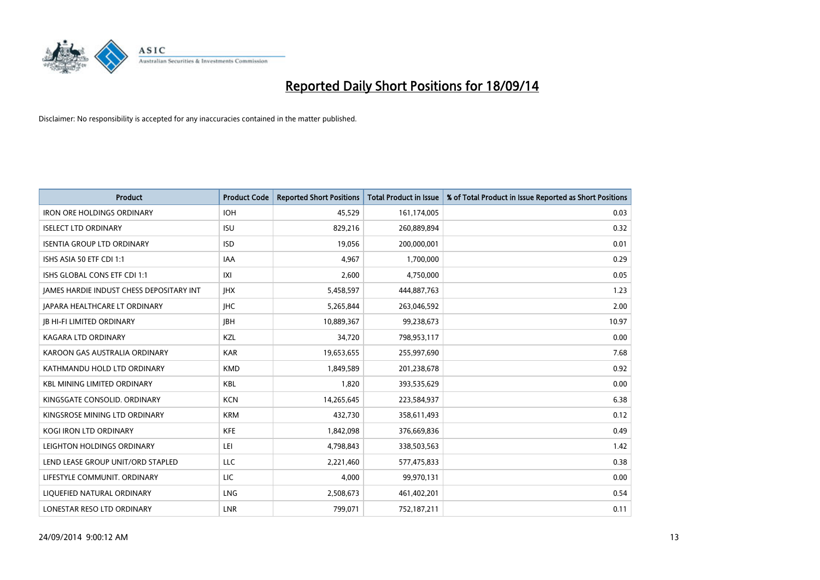

| <b>Product</b>                                  | <b>Product Code</b> | <b>Reported Short Positions</b> | <b>Total Product in Issue</b> | % of Total Product in Issue Reported as Short Positions |
|-------------------------------------------------|---------------------|---------------------------------|-------------------------------|---------------------------------------------------------|
| <b>IRON ORE HOLDINGS ORDINARY</b>               | <b>IOH</b>          | 45,529                          | 161,174,005                   | 0.03                                                    |
| <b>ISELECT LTD ORDINARY</b>                     | <b>ISU</b>          | 829,216                         | 260,889,894                   | 0.32                                                    |
| <b>ISENTIA GROUP LTD ORDINARY</b>               | <b>ISD</b>          | 19,056                          | 200,000,001                   | 0.01                                                    |
| ISHS ASIA 50 ETF CDI 1:1                        | <b>IAA</b>          | 4,967                           | 1,700,000                     | 0.29                                                    |
| ISHS GLOBAL CONS ETF CDI 1:1                    | IXI                 | 2,600                           | 4,750,000                     | 0.05                                                    |
| <b>JAMES HARDIE INDUST CHESS DEPOSITARY INT</b> | <b>IHX</b>          | 5,458,597                       | 444,887,763                   | 1.23                                                    |
| JAPARA HEALTHCARE LT ORDINARY                   | <b>IHC</b>          | 5,265,844                       | 263,046,592                   | 2.00                                                    |
| <b>JB HI-FI LIMITED ORDINARY</b>                | <b>IBH</b>          | 10,889,367                      | 99,238,673                    | 10.97                                                   |
| <b>KAGARA LTD ORDINARY</b>                      | KZL                 | 34,720                          | 798,953,117                   | 0.00                                                    |
| KAROON GAS AUSTRALIA ORDINARY                   | <b>KAR</b>          | 19,653,655                      | 255,997,690                   | 7.68                                                    |
| KATHMANDU HOLD LTD ORDINARY                     | <b>KMD</b>          | 1,849,589                       | 201,238,678                   | 0.92                                                    |
| <b>KBL MINING LIMITED ORDINARY</b>              | <b>KBL</b>          | 1,820                           | 393,535,629                   | 0.00                                                    |
| KINGSGATE CONSOLID. ORDINARY                    | <b>KCN</b>          | 14,265,645                      | 223,584,937                   | 6.38                                                    |
| KINGSROSE MINING LTD ORDINARY                   | <b>KRM</b>          | 432,730                         | 358,611,493                   | 0.12                                                    |
| <b>KOGI IRON LTD ORDINARY</b>                   | <b>KFE</b>          | 1,842,098                       | 376,669,836                   | 0.49                                                    |
| LEIGHTON HOLDINGS ORDINARY                      | LEI                 | 4,798,843                       | 338,503,563                   | 1.42                                                    |
| LEND LEASE GROUP UNIT/ORD STAPLED               | LLC                 | 2,221,460                       | 577,475,833                   | 0.38                                                    |
| LIFESTYLE COMMUNIT. ORDINARY                    | LIC                 | 4,000                           | 99,970,131                    | 0.00                                                    |
| LIQUEFIED NATURAL ORDINARY                      | LNG                 | 2,508,673                       | 461,402,201                   | 0.54                                                    |
| LONESTAR RESO LTD ORDINARY                      | <b>LNR</b>          | 799,071                         | 752,187,211                   | 0.11                                                    |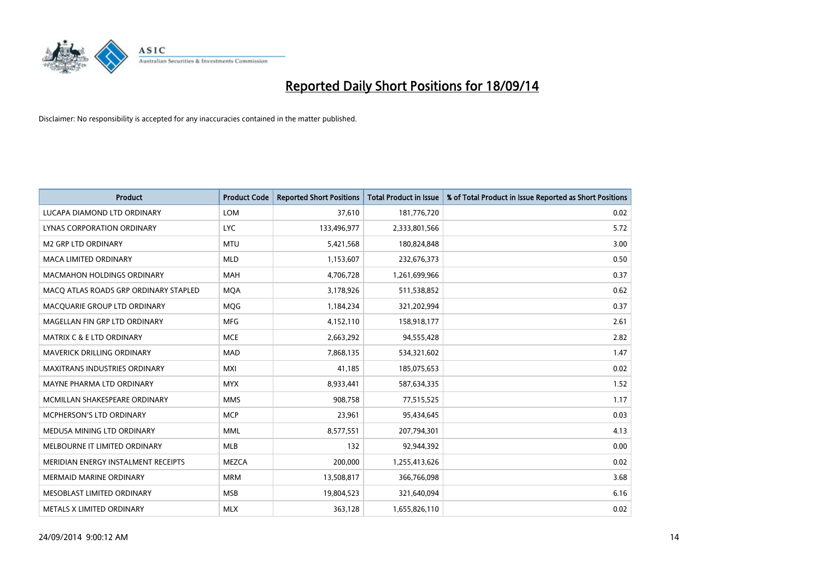

| <b>Product</b>                        | <b>Product Code</b> | <b>Reported Short Positions</b> | <b>Total Product in Issue</b> | % of Total Product in Issue Reported as Short Positions |
|---------------------------------------|---------------------|---------------------------------|-------------------------------|---------------------------------------------------------|
| LUCAPA DIAMOND LTD ORDINARY           | <b>LOM</b>          | 37,610                          | 181,776,720                   | 0.02                                                    |
| LYNAS CORPORATION ORDINARY            | <b>LYC</b>          | 133,496,977                     | 2,333,801,566                 | 5.72                                                    |
| M2 GRP LTD ORDINARY                   | <b>MTU</b>          | 5,421,568                       | 180,824,848                   | 3.00                                                    |
| <b>MACA LIMITED ORDINARY</b>          | <b>MLD</b>          | 1,153,607                       | 232,676,373                   | 0.50                                                    |
| <b>MACMAHON HOLDINGS ORDINARY</b>     | <b>MAH</b>          | 4,706,728                       | 1,261,699,966                 | 0.37                                                    |
| MACO ATLAS ROADS GRP ORDINARY STAPLED | <b>MQA</b>          | 3,178,926                       | 511,538,852                   | 0.62                                                    |
| MACQUARIE GROUP LTD ORDINARY          | MQG                 | 1,184,234                       | 321,202,994                   | 0.37                                                    |
| MAGELLAN FIN GRP LTD ORDINARY         | <b>MFG</b>          | 4,152,110                       | 158,918,177                   | 2.61                                                    |
| <b>MATRIX C &amp; E LTD ORDINARY</b>  | <b>MCE</b>          | 2,663,292                       | 94,555,428                    | 2.82                                                    |
| MAVERICK DRILLING ORDINARY            | <b>MAD</b>          | 7,868,135                       | 534,321,602                   | 1.47                                                    |
| <b>MAXITRANS INDUSTRIES ORDINARY</b>  | <b>MXI</b>          | 41,185                          | 185,075,653                   | 0.02                                                    |
| MAYNE PHARMA LTD ORDINARY             | <b>MYX</b>          | 8,933,441                       | 587,634,335                   | 1.52                                                    |
| MCMILLAN SHAKESPEARE ORDINARY         | <b>MMS</b>          | 908,758                         | 77,515,525                    | 1.17                                                    |
| <b>MCPHERSON'S LTD ORDINARY</b>       | <b>MCP</b>          | 23,961                          | 95,434,645                    | 0.03                                                    |
| MEDUSA MINING LTD ORDINARY            | <b>MML</b>          | 8,577,551                       | 207,794,301                   | 4.13                                                    |
| MELBOURNE IT LIMITED ORDINARY         | MLB                 | 132                             | 92,944,392                    | 0.00                                                    |
| MERIDIAN ENERGY INSTALMENT RECEIPTS   | <b>MEZCA</b>        | 200,000                         | 1,255,413,626                 | 0.02                                                    |
| <b>MERMAID MARINE ORDINARY</b>        | <b>MRM</b>          | 13,508,817                      | 366,766,098                   | 3.68                                                    |
| MESOBLAST LIMITED ORDINARY            | <b>MSB</b>          | 19,804,523                      | 321,640,094                   | 6.16                                                    |
| METALS X LIMITED ORDINARY             | <b>MLX</b>          | 363,128                         | 1,655,826,110                 | 0.02                                                    |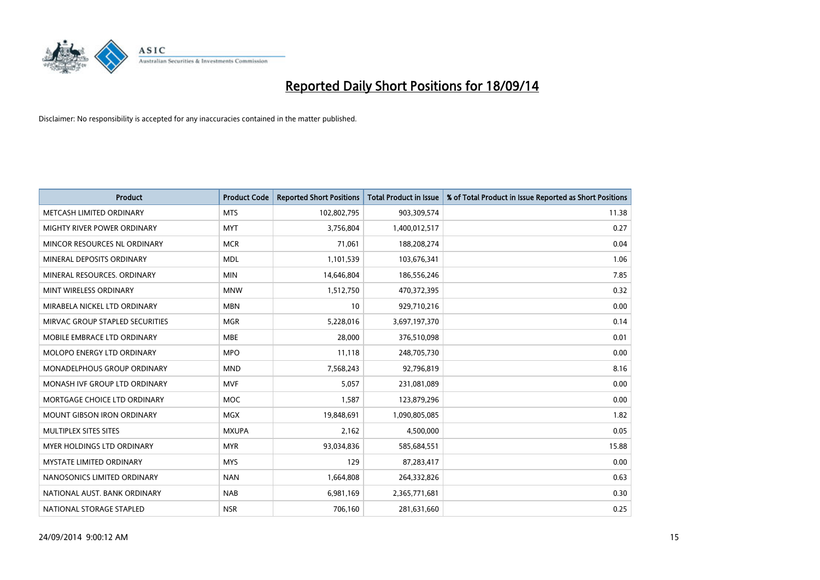

| <b>Product</b>                    | <b>Product Code</b> | <b>Reported Short Positions</b> | <b>Total Product in Issue</b> | % of Total Product in Issue Reported as Short Positions |
|-----------------------------------|---------------------|---------------------------------|-------------------------------|---------------------------------------------------------|
| METCASH LIMITED ORDINARY          | <b>MTS</b>          | 102,802,795                     | 903,309,574                   | 11.38                                                   |
| MIGHTY RIVER POWER ORDINARY       | <b>MYT</b>          | 3,756,804                       | 1,400,012,517                 | 0.27                                                    |
| MINCOR RESOURCES NL ORDINARY      | <b>MCR</b>          | 71,061                          | 188,208,274                   | 0.04                                                    |
| MINERAL DEPOSITS ORDINARY         | <b>MDL</b>          | 1,101,539                       | 103,676,341                   | 1.06                                                    |
| MINERAL RESOURCES, ORDINARY       | <b>MIN</b>          | 14,646,804                      | 186,556,246                   | 7.85                                                    |
| MINT WIRELESS ORDINARY            | <b>MNW</b>          | 1,512,750                       | 470,372,395                   | 0.32                                                    |
| MIRABELA NICKEL LTD ORDINARY      | <b>MBN</b>          | 10                              | 929,710,216                   | 0.00                                                    |
| MIRVAC GROUP STAPLED SECURITIES   | <b>MGR</b>          | 5,228,016                       | 3,697,197,370                 | 0.14                                                    |
| MOBILE EMBRACE LTD ORDINARY       | <b>MBE</b>          | 28,000                          | 376,510,098                   | 0.01                                                    |
| MOLOPO ENERGY LTD ORDINARY        | <b>MPO</b>          | 11,118                          | 248,705,730                   | 0.00                                                    |
| MONADELPHOUS GROUP ORDINARY       | <b>MND</b>          | 7,568,243                       | 92,796,819                    | 8.16                                                    |
| MONASH IVF GROUP LTD ORDINARY     | MVF                 | 5,057                           | 231,081,089                   | 0.00                                                    |
| MORTGAGE CHOICE LTD ORDINARY      | <b>MOC</b>          | 1,587                           | 123,879,296                   | 0.00                                                    |
| <b>MOUNT GIBSON IRON ORDINARY</b> | <b>MGX</b>          | 19,848,691                      | 1,090,805,085                 | 1.82                                                    |
| MULTIPLEX SITES SITES             | <b>MXUPA</b>        | 2,162                           | 4,500,000                     | 0.05                                                    |
| <b>MYER HOLDINGS LTD ORDINARY</b> | <b>MYR</b>          | 93,034,836                      | 585,684,551                   | 15.88                                                   |
| <b>MYSTATE LIMITED ORDINARY</b>   | <b>MYS</b>          | 129                             | 87,283,417                    | 0.00                                                    |
| NANOSONICS LIMITED ORDINARY       | <b>NAN</b>          | 1,664,808                       | 264,332,826                   | 0.63                                                    |
| NATIONAL AUST, BANK ORDINARY      | <b>NAB</b>          | 6,981,169                       | 2,365,771,681                 | 0.30                                                    |
| NATIONAL STORAGE STAPLED          | <b>NSR</b>          | 706,160                         | 281,631,660                   | 0.25                                                    |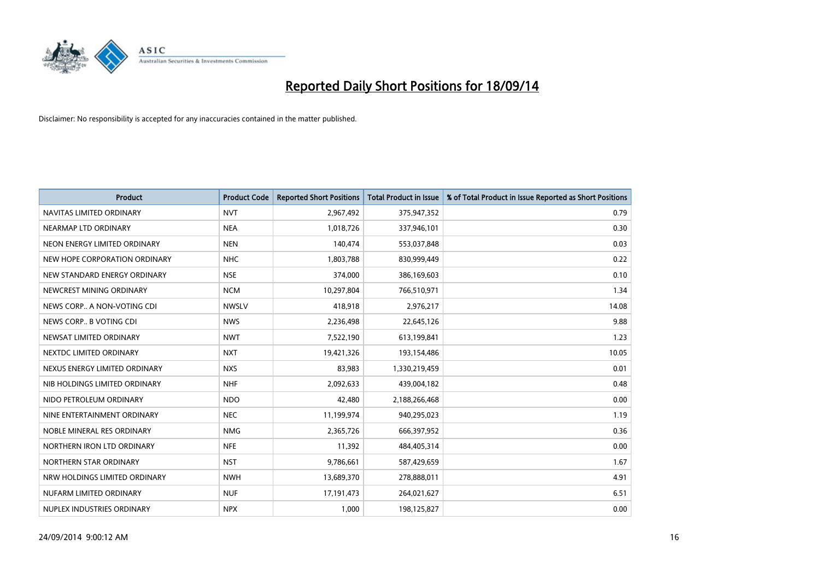

| <b>Product</b>                | <b>Product Code</b> | <b>Reported Short Positions</b> | <b>Total Product in Issue</b> | % of Total Product in Issue Reported as Short Positions |
|-------------------------------|---------------------|---------------------------------|-------------------------------|---------------------------------------------------------|
| NAVITAS LIMITED ORDINARY      | <b>NVT</b>          | 2,967,492                       | 375,947,352                   | 0.79                                                    |
| NEARMAP LTD ORDINARY          | <b>NEA</b>          | 1,018,726                       | 337,946,101                   | 0.30                                                    |
| NEON ENERGY LIMITED ORDINARY  | <b>NEN</b>          | 140,474                         | 553,037,848                   | 0.03                                                    |
| NEW HOPE CORPORATION ORDINARY | <b>NHC</b>          | 1,803,788                       | 830,999,449                   | 0.22                                                    |
| NEW STANDARD ENERGY ORDINARY  | <b>NSE</b>          | 374,000                         | 386,169,603                   | 0.10                                                    |
| NEWCREST MINING ORDINARY      | <b>NCM</b>          | 10,297,804                      | 766,510,971                   | 1.34                                                    |
| NEWS CORP A NON-VOTING CDI    | <b>NWSLV</b>        | 418,918                         | 2,976,217                     | 14.08                                                   |
| NEWS CORP B VOTING CDI        | <b>NWS</b>          | 2,236,498                       | 22,645,126                    | 9.88                                                    |
| NEWSAT LIMITED ORDINARY       | <b>NWT</b>          | 7,522,190                       | 613,199,841                   | 1.23                                                    |
| NEXTDC LIMITED ORDINARY       | <b>NXT</b>          | 19,421,326                      | 193,154,486                   | 10.05                                                   |
| NEXUS ENERGY LIMITED ORDINARY | <b>NXS</b>          | 83,983                          | 1,330,219,459                 | 0.01                                                    |
| NIB HOLDINGS LIMITED ORDINARY | <b>NHF</b>          | 2,092,633                       | 439,004,182                   | 0.48                                                    |
| NIDO PETROLEUM ORDINARY       | <b>NDO</b>          | 42,480                          | 2,188,266,468                 | 0.00                                                    |
| NINE ENTERTAINMENT ORDINARY   | <b>NEC</b>          | 11,199,974                      | 940,295,023                   | 1.19                                                    |
| NOBLE MINERAL RES ORDINARY    | <b>NMG</b>          | 2,365,726                       | 666,397,952                   | 0.36                                                    |
| NORTHERN IRON LTD ORDINARY    | <b>NFE</b>          | 11,392                          | 484,405,314                   | 0.00                                                    |
| NORTHERN STAR ORDINARY        | <b>NST</b>          | 9,786,661                       | 587,429,659                   | 1.67                                                    |
| NRW HOLDINGS LIMITED ORDINARY | <b>NWH</b>          | 13,689,370                      | 278,888,011                   | 4.91                                                    |
| NUFARM LIMITED ORDINARY       | <b>NUF</b>          | 17,191,473                      | 264,021,627                   | 6.51                                                    |
| NUPLEX INDUSTRIES ORDINARY    | <b>NPX</b>          | 1,000                           | 198,125,827                   | 0.00                                                    |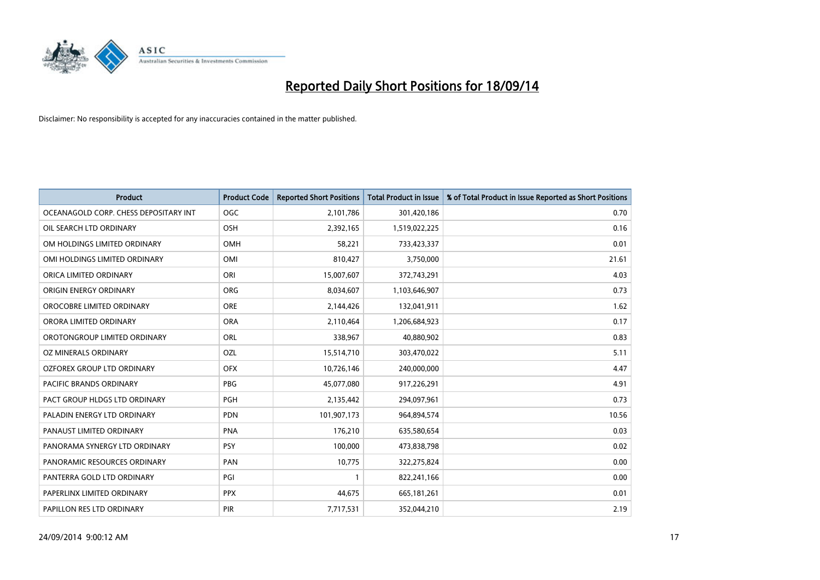

| <b>Product</b>                        | <b>Product Code</b> | <b>Reported Short Positions</b> | <b>Total Product in Issue</b> | % of Total Product in Issue Reported as Short Positions |
|---------------------------------------|---------------------|---------------------------------|-------------------------------|---------------------------------------------------------|
| OCEANAGOLD CORP. CHESS DEPOSITARY INT | <b>OGC</b>          | 2,101,786                       | 301,420,186                   | 0.70                                                    |
| OIL SEARCH LTD ORDINARY               | <b>OSH</b>          | 2,392,165                       | 1,519,022,225                 | 0.16                                                    |
| OM HOLDINGS LIMITED ORDINARY          | OMH                 | 58,221                          | 733,423,337                   | 0.01                                                    |
| OMI HOLDINGS LIMITED ORDINARY         | OMI                 | 810,427                         | 3,750,000                     | 21.61                                                   |
| ORICA LIMITED ORDINARY                | ORI                 | 15,007,607                      | 372,743,291                   | 4.03                                                    |
| ORIGIN ENERGY ORDINARY                | <b>ORG</b>          | 8,034,607                       | 1,103,646,907                 | 0.73                                                    |
| OROCOBRE LIMITED ORDINARY             | <b>ORE</b>          | 2,144,426                       | 132,041,911                   | 1.62                                                    |
| ORORA LIMITED ORDINARY                | <b>ORA</b>          | 2,110,464                       | 1,206,684,923                 | 0.17                                                    |
| OROTONGROUP LIMITED ORDINARY          | ORL                 | 338,967                         | 40,880,902                    | 0.83                                                    |
| <b>OZ MINERALS ORDINARY</b>           | <b>OZL</b>          | 15,514,710                      | 303,470,022                   | 5.11                                                    |
| OZFOREX GROUP LTD ORDINARY            | <b>OFX</b>          | 10,726,146                      | 240,000,000                   | 4.47                                                    |
| PACIFIC BRANDS ORDINARY               | <b>PBG</b>          | 45,077,080                      | 917,226,291                   | 4.91                                                    |
| PACT GROUP HLDGS LTD ORDINARY         | PGH                 | 2,135,442                       | 294,097,961                   | 0.73                                                    |
| PALADIN ENERGY LTD ORDINARY           | <b>PDN</b>          | 101,907,173                     | 964,894,574                   | 10.56                                                   |
| PANAUST LIMITED ORDINARY              | <b>PNA</b>          | 176,210                         | 635,580,654                   | 0.03                                                    |
| PANORAMA SYNERGY LTD ORDINARY         | <b>PSY</b>          | 100,000                         | 473,838,798                   | 0.02                                                    |
| PANORAMIC RESOURCES ORDINARY          | PAN                 | 10,775                          | 322,275,824                   | 0.00                                                    |
| PANTERRA GOLD LTD ORDINARY            | PGI                 | $\mathbf{1}$                    | 822,241,166                   | 0.00                                                    |
| PAPERLINX LIMITED ORDINARY            | <b>PPX</b>          | 44,675                          | 665,181,261                   | 0.01                                                    |
| PAPILLON RES LTD ORDINARY             | <b>PIR</b>          | 7,717,531                       | 352,044,210                   | 2.19                                                    |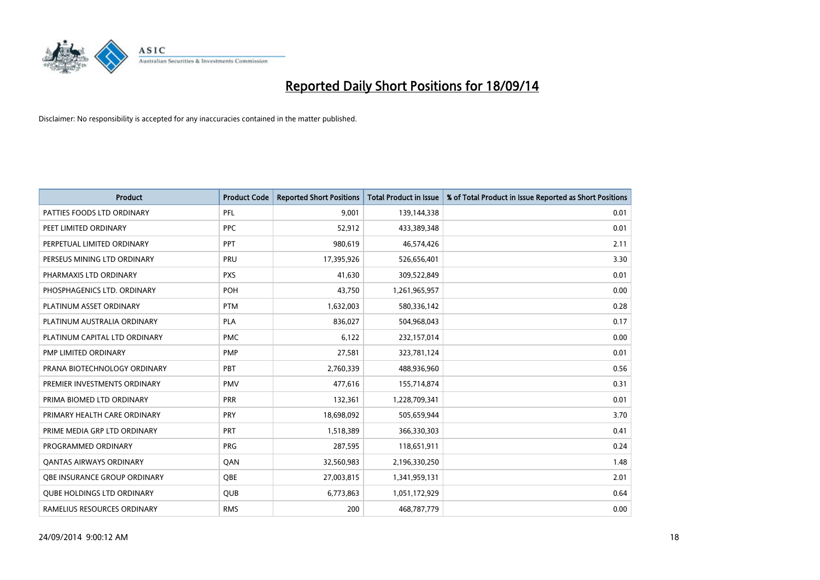

| <b>Product</b>                    | <b>Product Code</b> | <b>Reported Short Positions</b> | <b>Total Product in Issue</b> | % of Total Product in Issue Reported as Short Positions |
|-----------------------------------|---------------------|---------------------------------|-------------------------------|---------------------------------------------------------|
| PATTIES FOODS LTD ORDINARY        | PFL                 | 9,001                           | 139,144,338                   | 0.01                                                    |
| PEET LIMITED ORDINARY             | <b>PPC</b>          | 52,912                          | 433,389,348                   | 0.01                                                    |
| PERPETUAL LIMITED ORDINARY        | <b>PPT</b>          | 980,619                         | 46,574,426                    | 2.11                                                    |
| PERSEUS MINING LTD ORDINARY       | PRU                 | 17,395,926                      | 526,656,401                   | 3.30                                                    |
| PHARMAXIS LTD ORDINARY            | <b>PXS</b>          | 41,630                          | 309,522,849                   | 0.01                                                    |
| PHOSPHAGENICS LTD. ORDINARY       | POH                 | 43,750                          | 1,261,965,957                 | 0.00                                                    |
| PLATINUM ASSET ORDINARY           | <b>PTM</b>          | 1,632,003                       | 580,336,142                   | 0.28                                                    |
| PLATINUM AUSTRALIA ORDINARY       | <b>PLA</b>          | 836,027                         | 504,968,043                   | 0.17                                                    |
| PLATINUM CAPITAL LTD ORDINARY     | <b>PMC</b>          | 6,122                           | 232,157,014                   | 0.00                                                    |
| PMP LIMITED ORDINARY              | <b>PMP</b>          | 27,581                          | 323,781,124                   | 0.01                                                    |
| PRANA BIOTECHNOLOGY ORDINARY      | PBT                 | 2,760,339                       | 488,936,960                   | 0.56                                                    |
| PREMIER INVESTMENTS ORDINARY      | <b>PMV</b>          | 477,616                         | 155,714,874                   | 0.31                                                    |
| PRIMA BIOMED LTD ORDINARY         | <b>PRR</b>          | 132,361                         | 1,228,709,341                 | 0.01                                                    |
| PRIMARY HEALTH CARE ORDINARY      | <b>PRY</b>          | 18,698,092                      | 505,659,944                   | 3.70                                                    |
| PRIME MEDIA GRP LTD ORDINARY      | <b>PRT</b>          | 1,518,389                       | 366,330,303                   | 0.41                                                    |
| PROGRAMMED ORDINARY               | <b>PRG</b>          | 287,595                         | 118,651,911                   | 0.24                                                    |
| <b>QANTAS AIRWAYS ORDINARY</b>    | QAN                 | 32,560,983                      | 2,196,330,250                 | 1.48                                                    |
| OBE INSURANCE GROUP ORDINARY      | <b>OBE</b>          | 27,003,815                      | 1,341,959,131                 | 2.01                                                    |
| <b>QUBE HOLDINGS LTD ORDINARY</b> | <b>QUB</b>          | 6,773,863                       | 1,051,172,929                 | 0.64                                                    |
| RAMELIUS RESOURCES ORDINARY       | <b>RMS</b>          | 200                             | 468,787,779                   | 0.00                                                    |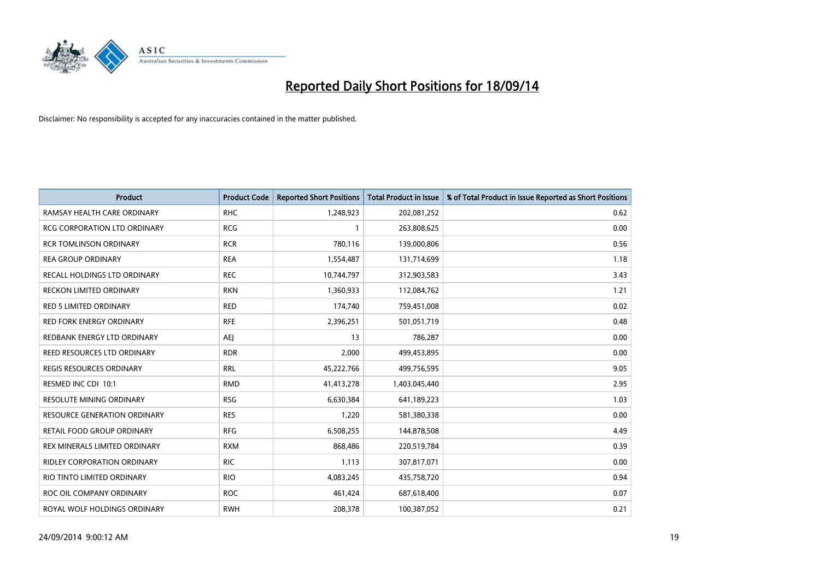

| Product                         | <b>Product Code</b> | <b>Reported Short Positions</b> | <b>Total Product in Issue</b> | % of Total Product in Issue Reported as Short Positions |
|---------------------------------|---------------------|---------------------------------|-------------------------------|---------------------------------------------------------|
| RAMSAY HEALTH CARE ORDINARY     | <b>RHC</b>          | 1,248,923                       | 202,081,252                   | 0.62                                                    |
| RCG CORPORATION LTD ORDINARY    | <b>RCG</b>          |                                 | 263,808,625                   | 0.00                                                    |
| <b>RCR TOMLINSON ORDINARY</b>   | <b>RCR</b>          | 780.116                         | 139,000,806                   | 0.56                                                    |
| <b>REA GROUP ORDINARY</b>       | <b>REA</b>          | 1,554,487                       | 131,714,699                   | 1.18                                                    |
| RECALL HOLDINGS LTD ORDINARY    | <b>REC</b>          | 10,744,797                      | 312,903,583                   | 3.43                                                    |
| <b>RECKON LIMITED ORDINARY</b>  | <b>RKN</b>          | 1,360,933                       | 112,084,762                   | 1.21                                                    |
| <b>RED 5 LIMITED ORDINARY</b>   | <b>RED</b>          | 174,740                         | 759,451,008                   | 0.02                                                    |
| <b>RED FORK ENERGY ORDINARY</b> | <b>RFE</b>          | 2,396,251                       | 501,051,719                   | 0.48                                                    |
| REDBANK ENERGY LTD ORDINARY     | <b>AEJ</b>          | 13                              | 786,287                       | 0.00                                                    |
| REED RESOURCES LTD ORDINARY     | <b>RDR</b>          | 2,000                           | 499,453,895                   | 0.00                                                    |
| REGIS RESOURCES ORDINARY        | <b>RRL</b>          | 45,222,766                      | 499,756,595                   | 9.05                                                    |
| RESMED INC CDI 10:1             | <b>RMD</b>          | 41,413,278                      | 1,403,045,440                 | 2.95                                                    |
| RESOLUTE MINING ORDINARY        | <b>RSG</b>          | 6,630,384                       | 641,189,223                   | 1.03                                                    |
| RESOURCE GENERATION ORDINARY    | <b>RES</b>          | 1,220                           | 581,380,338                   | 0.00                                                    |
| RETAIL FOOD GROUP ORDINARY      | <b>RFG</b>          | 6,508,255                       | 144,878,508                   | 4.49                                                    |
| REX MINERALS LIMITED ORDINARY   | <b>RXM</b>          | 868,486                         | 220,519,784                   | 0.39                                                    |
| RIDLEY CORPORATION ORDINARY     | <b>RIC</b>          | 1,113                           | 307,817,071                   | 0.00                                                    |
| RIO TINTO LIMITED ORDINARY      | <b>RIO</b>          | 4,083,245                       | 435,758,720                   | 0.94                                                    |
| ROC OIL COMPANY ORDINARY        | <b>ROC</b>          | 461,424                         | 687,618,400                   | 0.07                                                    |
| ROYAL WOLF HOLDINGS ORDINARY    | <b>RWH</b>          | 208,378                         | 100,387,052                   | 0.21                                                    |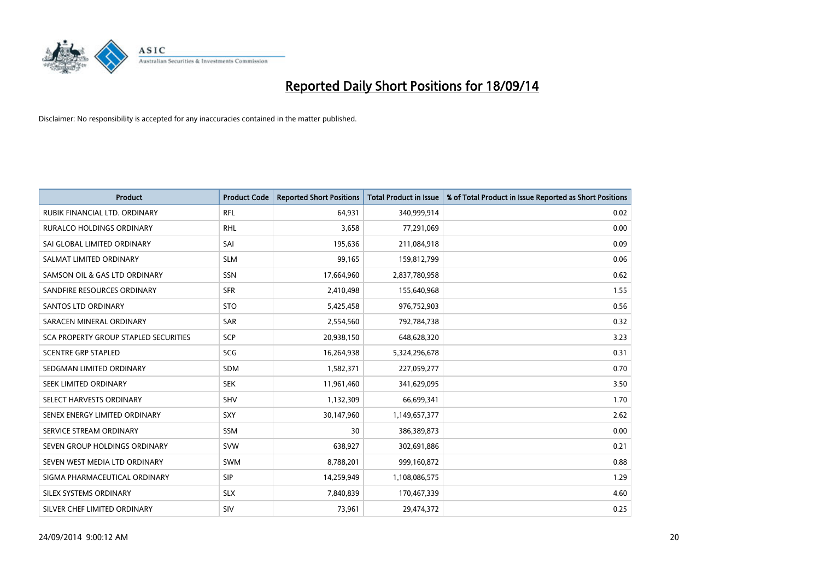

| <b>Product</b>                               | <b>Product Code</b> | <b>Reported Short Positions</b> | <b>Total Product in Issue</b> | % of Total Product in Issue Reported as Short Positions |
|----------------------------------------------|---------------------|---------------------------------|-------------------------------|---------------------------------------------------------|
| RUBIK FINANCIAL LTD. ORDINARY                | <b>RFL</b>          | 64,931                          | 340,999,914                   | 0.02                                                    |
| <b>RURALCO HOLDINGS ORDINARY</b>             | <b>RHL</b>          | 3,658                           | 77,291,069                    | 0.00                                                    |
| SAI GLOBAL LIMITED ORDINARY                  | SAI                 | 195,636                         | 211,084,918                   | 0.09                                                    |
| SALMAT LIMITED ORDINARY                      | <b>SLM</b>          | 99,165                          | 159,812,799                   | 0.06                                                    |
| SAMSON OIL & GAS LTD ORDINARY                | SSN                 | 17,664,960                      | 2,837,780,958                 | 0.62                                                    |
| SANDFIRE RESOURCES ORDINARY                  | <b>SFR</b>          | 2,410,498                       | 155,640,968                   | 1.55                                                    |
| SANTOS LTD ORDINARY                          | <b>STO</b>          | 5,425,458                       | 976,752,903                   | 0.56                                                    |
| SARACEN MINERAL ORDINARY                     | <b>SAR</b>          | 2,554,560                       | 792,784,738                   | 0.32                                                    |
| <b>SCA PROPERTY GROUP STAPLED SECURITIES</b> | SCP                 | 20,938,150                      | 648,628,320                   | 3.23                                                    |
| <b>SCENTRE GRP STAPLED</b>                   | SCG                 | 16,264,938                      | 5,324,296,678                 | 0.31                                                    |
| SEDGMAN LIMITED ORDINARY                     | <b>SDM</b>          | 1,582,371                       | 227,059,277                   | 0.70                                                    |
| SEEK LIMITED ORDINARY                        | <b>SEK</b>          | 11,961,460                      | 341,629,095                   | 3.50                                                    |
| SELECT HARVESTS ORDINARY                     | SHV                 | 1,132,309                       | 66,699,341                    | 1.70                                                    |
| SENEX ENERGY LIMITED ORDINARY                | <b>SXY</b>          | 30,147,960                      | 1,149,657,377                 | 2.62                                                    |
| SERVICE STREAM ORDINARY                      | <b>SSM</b>          | 30                              | 386,389,873                   | 0.00                                                    |
| SEVEN GROUP HOLDINGS ORDINARY                | <b>SVW</b>          | 638,927                         | 302,691,886                   | 0.21                                                    |
| SEVEN WEST MEDIA LTD ORDINARY                | <b>SWM</b>          | 8,788,201                       | 999,160,872                   | 0.88                                                    |
| SIGMA PHARMACEUTICAL ORDINARY                | <b>SIP</b>          | 14,259,949                      | 1,108,086,575                 | 1.29                                                    |
| SILEX SYSTEMS ORDINARY                       | <b>SLX</b>          | 7,840,839                       | 170,467,339                   | 4.60                                                    |
| SILVER CHEF LIMITED ORDINARY                 | SIV                 | 73,961                          | 29,474,372                    | 0.25                                                    |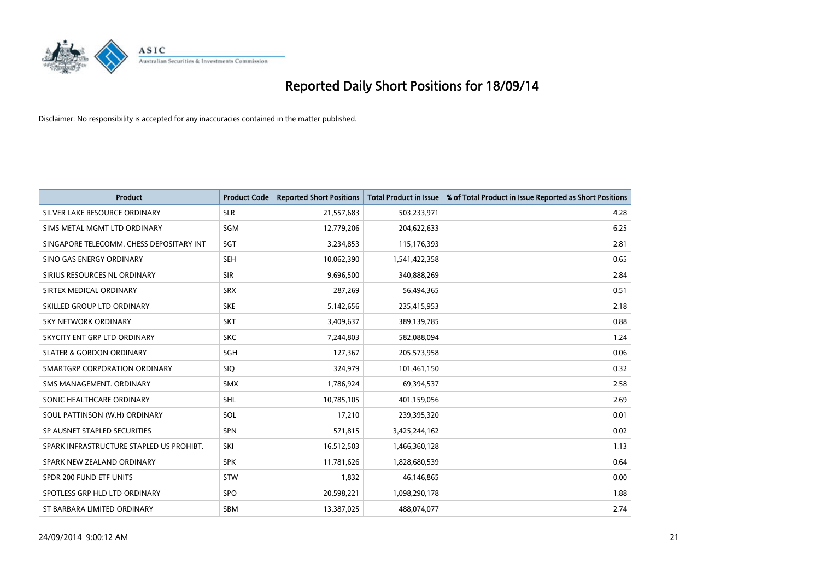

| <b>Product</b>                           | <b>Product Code</b> | <b>Reported Short Positions</b> | <b>Total Product in Issue</b> | % of Total Product in Issue Reported as Short Positions |
|------------------------------------------|---------------------|---------------------------------|-------------------------------|---------------------------------------------------------|
| SILVER LAKE RESOURCE ORDINARY            | <b>SLR</b>          | 21,557,683                      | 503,233,971                   | 4.28                                                    |
| SIMS METAL MGMT LTD ORDINARY             | <b>SGM</b>          | 12,779,206                      | 204,622,633                   | 6.25                                                    |
| SINGAPORE TELECOMM. CHESS DEPOSITARY INT | SGT                 | 3,234,853                       | 115,176,393                   | 2.81                                                    |
| SINO GAS ENERGY ORDINARY                 | <b>SEH</b>          | 10,062,390                      | 1,541,422,358                 | 0.65                                                    |
| SIRIUS RESOURCES NL ORDINARY             | <b>SIR</b>          | 9,696,500                       | 340,888,269                   | 2.84                                                    |
| SIRTEX MEDICAL ORDINARY                  | <b>SRX</b>          | 287,269                         | 56,494,365                    | 0.51                                                    |
| SKILLED GROUP LTD ORDINARY               | <b>SKE</b>          | 5,142,656                       | 235,415,953                   | 2.18                                                    |
| SKY NETWORK ORDINARY                     | <b>SKT</b>          | 3,409,637                       | 389,139,785                   | 0.88                                                    |
| SKYCITY ENT GRP LTD ORDINARY             | <b>SKC</b>          | 7,244,803                       | 582,088,094                   | 1.24                                                    |
| <b>SLATER &amp; GORDON ORDINARY</b>      | SGH                 | 127,367                         | 205,573,958                   | 0.06                                                    |
| SMARTGRP CORPORATION ORDINARY            | <b>SIQ</b>          | 324,979                         | 101,461,150                   | 0.32                                                    |
| SMS MANAGEMENT, ORDINARY                 | <b>SMX</b>          | 1,786,924                       | 69,394,537                    | 2.58                                                    |
| SONIC HEALTHCARE ORDINARY                | <b>SHL</b>          | 10,785,105                      | 401,159,056                   | 2.69                                                    |
| SOUL PATTINSON (W.H) ORDINARY            | SOL                 | 17,210                          | 239,395,320                   | 0.01                                                    |
| SP AUSNET STAPLED SECURITIES             | <b>SPN</b>          | 571,815                         | 3,425,244,162                 | 0.02                                                    |
| SPARK INFRASTRUCTURE STAPLED US PROHIBT. | SKI                 | 16,512,503                      | 1,466,360,128                 | 1.13                                                    |
| SPARK NEW ZEALAND ORDINARY               | <b>SPK</b>          | 11,781,626                      | 1,828,680,539                 | 0.64                                                    |
| SPDR 200 FUND ETF UNITS                  | <b>STW</b>          | 1,832                           | 46,146,865                    | 0.00                                                    |
| SPOTLESS GRP HLD LTD ORDINARY            | <b>SPO</b>          | 20,598,221                      | 1,098,290,178                 | 1.88                                                    |
| ST BARBARA LIMITED ORDINARY              | <b>SBM</b>          | 13,387,025                      | 488,074,077                   | 2.74                                                    |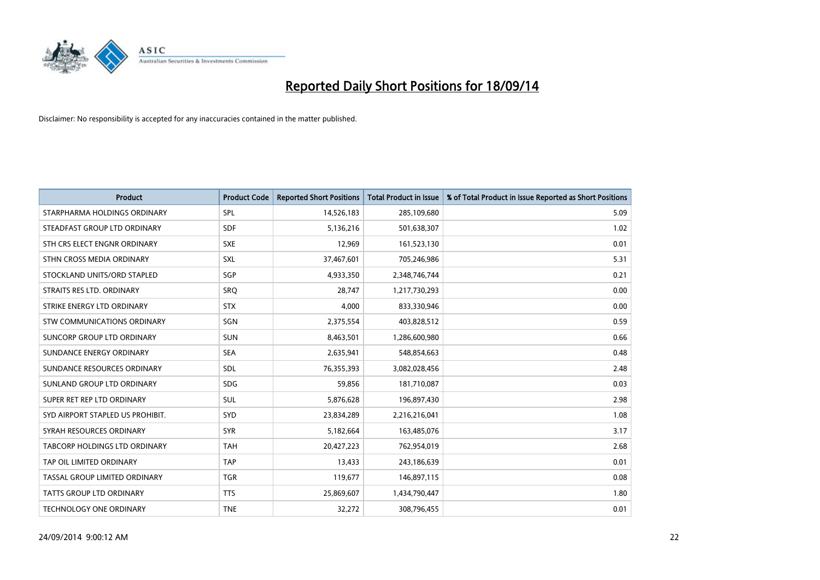

| <b>Product</b>                    | <b>Product Code</b> | <b>Reported Short Positions</b> | <b>Total Product in Issue</b> | % of Total Product in Issue Reported as Short Positions |
|-----------------------------------|---------------------|---------------------------------|-------------------------------|---------------------------------------------------------|
| STARPHARMA HOLDINGS ORDINARY      | <b>SPL</b>          | 14,526,183                      | 285,109,680                   | 5.09                                                    |
| STEADFAST GROUP LTD ORDINARY      | <b>SDF</b>          | 5,136,216                       | 501,638,307                   | 1.02                                                    |
| STH CRS ELECT ENGNR ORDINARY      | <b>SXE</b>          | 12,969                          | 161,523,130                   | 0.01                                                    |
| STHN CROSS MEDIA ORDINARY         | <b>SXL</b>          | 37,467,601                      | 705,246,986                   | 5.31                                                    |
| STOCKLAND UNITS/ORD STAPLED       | SGP                 | 4,933,350                       | 2,348,746,744                 | 0.21                                                    |
| STRAITS RES LTD. ORDINARY         | <b>SRO</b>          | 28,747                          | 1,217,730,293                 | 0.00                                                    |
| STRIKE ENERGY LTD ORDINARY        | <b>STX</b>          | 4,000                           | 833,330,946                   | 0.00                                                    |
| STW COMMUNICATIONS ORDINARY       | SGN                 | 2,375,554                       | 403,828,512                   | 0.59                                                    |
| <b>SUNCORP GROUP LTD ORDINARY</b> | <b>SUN</b>          | 8,463,501                       | 1,286,600,980                 | 0.66                                                    |
| SUNDANCE ENERGY ORDINARY          | <b>SEA</b>          | 2,635,941                       | 548,854,663                   | 0.48                                                    |
| SUNDANCE RESOURCES ORDINARY       | SDL                 | 76,355,393                      | 3,082,028,456                 | 2.48                                                    |
| SUNLAND GROUP LTD ORDINARY        | <b>SDG</b>          | 59,856                          | 181,710,087                   | 0.03                                                    |
| SUPER RET REP LTD ORDINARY        | SUL                 | 5,876,628                       | 196,897,430                   | 2.98                                                    |
| SYD AIRPORT STAPLED US PROHIBIT.  | <b>SYD</b>          | 23,834,289                      | 2,216,216,041                 | 1.08                                                    |
| SYRAH RESOURCES ORDINARY          | <b>SYR</b>          | 5,182,664                       | 163,485,076                   | 3.17                                                    |
| TABCORP HOLDINGS LTD ORDINARY     | <b>TAH</b>          | 20,427,223                      | 762,954,019                   | 2.68                                                    |
| TAP OIL LIMITED ORDINARY          | <b>TAP</b>          | 13,433                          | 243,186,639                   | 0.01                                                    |
| TASSAL GROUP LIMITED ORDINARY     | <b>TGR</b>          | 119,677                         | 146,897,115                   | 0.08                                                    |
| <b>TATTS GROUP LTD ORDINARY</b>   | <b>TTS</b>          | 25,869,607                      | 1,434,790,447                 | 1.80                                                    |
| TECHNOLOGY ONE ORDINARY           | <b>TNE</b>          | 32,272                          | 308,796,455                   | 0.01                                                    |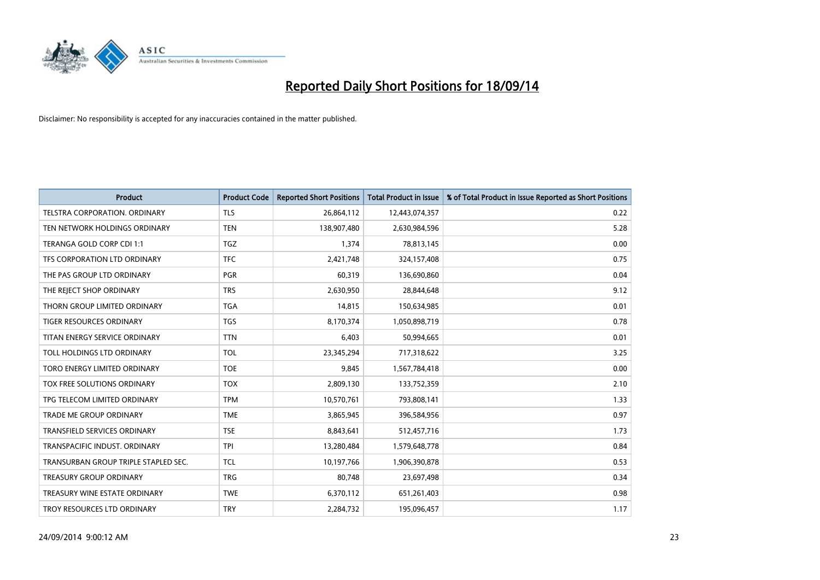

| <b>Product</b>                       | <b>Product Code</b> | <b>Reported Short Positions</b> | <b>Total Product in Issue</b> | % of Total Product in Issue Reported as Short Positions |
|--------------------------------------|---------------------|---------------------------------|-------------------------------|---------------------------------------------------------|
| <b>TELSTRA CORPORATION, ORDINARY</b> | <b>TLS</b>          | 26,864,112                      | 12,443,074,357                | 0.22                                                    |
| TEN NETWORK HOLDINGS ORDINARY        | <b>TEN</b>          | 138,907,480                     | 2,630,984,596                 | 5.28                                                    |
| TERANGA GOLD CORP CDI 1:1            | <b>TGZ</b>          | 1,374                           | 78,813,145                    | 0.00                                                    |
| TFS CORPORATION LTD ORDINARY         | <b>TFC</b>          | 2,421,748                       | 324,157,408                   | 0.75                                                    |
| THE PAS GROUP LTD ORDINARY           | <b>PGR</b>          | 60,319                          | 136,690,860                   | 0.04                                                    |
| THE REJECT SHOP ORDINARY             | <b>TRS</b>          | 2,630,950                       | 28,844,648                    | 9.12                                                    |
| THORN GROUP LIMITED ORDINARY         | <b>TGA</b>          | 14,815                          | 150,634,985                   | 0.01                                                    |
| TIGER RESOURCES ORDINARY             | <b>TGS</b>          | 8,170,374                       | 1,050,898,719                 | 0.78                                                    |
| TITAN ENERGY SERVICE ORDINARY        | <b>TTN</b>          | 6,403                           | 50,994,665                    | 0.01                                                    |
| TOLL HOLDINGS LTD ORDINARY           | <b>TOL</b>          | 23,345,294                      | 717,318,622                   | 3.25                                                    |
| TORO ENERGY LIMITED ORDINARY         | <b>TOE</b>          | 9,845                           | 1,567,784,418                 | 0.00                                                    |
| TOX FREE SOLUTIONS ORDINARY          | <b>TOX</b>          | 2,809,130                       | 133,752,359                   | 2.10                                                    |
| TPG TELECOM LIMITED ORDINARY         | <b>TPM</b>          | 10,570,761                      | 793,808,141                   | 1.33                                                    |
| <b>TRADE ME GROUP ORDINARY</b>       | <b>TME</b>          | 3,865,945                       | 396,584,956                   | 0.97                                                    |
| TRANSFIELD SERVICES ORDINARY         | <b>TSE</b>          | 8,843,641                       | 512,457,716                   | 1.73                                                    |
| TRANSPACIFIC INDUST, ORDINARY        | <b>TPI</b>          | 13,280,484                      | 1,579,648,778                 | 0.84                                                    |
| TRANSURBAN GROUP TRIPLE STAPLED SEC. | <b>TCL</b>          | 10,197,766                      | 1,906,390,878                 | 0.53                                                    |
| TREASURY GROUP ORDINARY              | <b>TRG</b>          | 80,748                          | 23,697,498                    | 0.34                                                    |
| TREASURY WINE ESTATE ORDINARY        | <b>TWE</b>          | 6,370,112                       | 651,261,403                   | 0.98                                                    |
| TROY RESOURCES LTD ORDINARY          | <b>TRY</b>          | 2,284,732                       | 195,096,457                   | 1.17                                                    |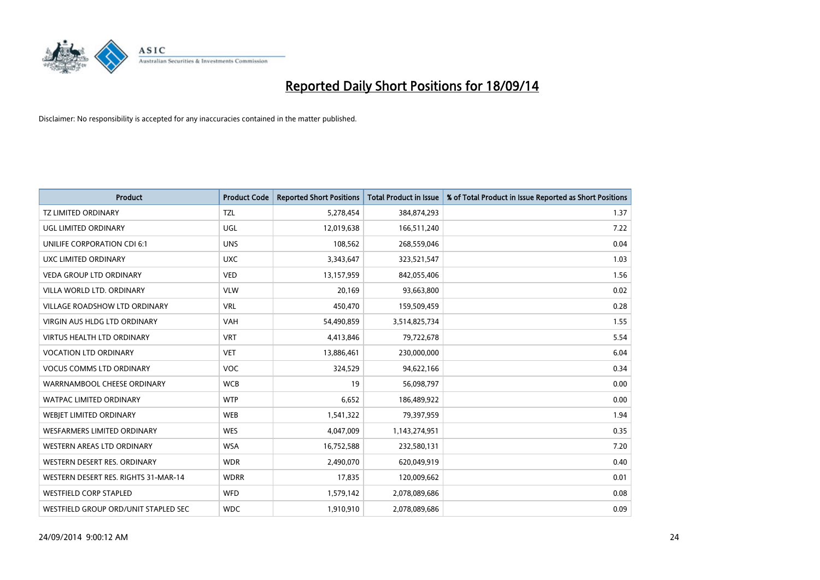

| <b>Product</b>                       | <b>Product Code</b> | <b>Reported Short Positions</b> | <b>Total Product in Issue</b> | % of Total Product in Issue Reported as Short Positions |
|--------------------------------------|---------------------|---------------------------------|-------------------------------|---------------------------------------------------------|
| <b>TZ LIMITED ORDINARY</b>           | <b>TZL</b>          | 5,278,454                       | 384,874,293                   | 1.37                                                    |
| UGL LIMITED ORDINARY                 | UGL                 | 12,019,638                      | 166,511,240                   | 7.22                                                    |
| UNILIFE CORPORATION CDI 6:1          | <b>UNS</b>          | 108,562                         | 268,559,046                   | 0.04                                                    |
| UXC LIMITED ORDINARY                 | <b>UXC</b>          | 3,343,647                       | 323,521,547                   | 1.03                                                    |
| <b>VEDA GROUP LTD ORDINARY</b>       | <b>VED</b>          | 13,157,959                      | 842,055,406                   | 1.56                                                    |
| VILLA WORLD LTD, ORDINARY            | <b>VLW</b>          | 20,169                          | 93,663,800                    | 0.02                                                    |
| <b>VILLAGE ROADSHOW LTD ORDINARY</b> | <b>VRL</b>          | 450,470                         | 159,509,459                   | 0.28                                                    |
| VIRGIN AUS HLDG LTD ORDINARY         | <b>VAH</b>          | 54,490,859                      | 3,514,825,734                 | 1.55                                                    |
| <b>VIRTUS HEALTH LTD ORDINARY</b>    | <b>VRT</b>          | 4,413,846                       | 79,722,678                    | 5.54                                                    |
| <b>VOCATION LTD ORDINARY</b>         | <b>VET</b>          | 13,886,461                      | 230,000,000                   | 6.04                                                    |
| <b>VOCUS COMMS LTD ORDINARY</b>      | <b>VOC</b>          | 324,529                         | 94,622,166                    | 0.34                                                    |
| WARRNAMBOOL CHEESE ORDINARY          | <b>WCB</b>          | 19                              | 56,098,797                    | 0.00                                                    |
| <b>WATPAC LIMITED ORDINARY</b>       | <b>WTP</b>          | 6,652                           | 186,489,922                   | 0.00                                                    |
| <b>WEBIET LIMITED ORDINARY</b>       | <b>WEB</b>          | 1,541,322                       | 79,397,959                    | 1.94                                                    |
| <b>WESFARMERS LIMITED ORDINARY</b>   | <b>WES</b>          | 4,047,009                       | 1,143,274,951                 | 0.35                                                    |
| WESTERN AREAS LTD ORDINARY           | <b>WSA</b>          | 16,752,588                      | 232,580,131                   | 7.20                                                    |
| WESTERN DESERT RES. ORDINARY         | <b>WDR</b>          | 2,490,070                       | 620,049,919                   | 0.40                                                    |
| WESTERN DESERT RES. RIGHTS 31-MAR-14 | <b>WDRR</b>         | 17,835                          | 120,009,662                   | 0.01                                                    |
| <b>WESTFIELD CORP STAPLED</b>        | <b>WFD</b>          | 1,579,142                       | 2,078,089,686                 | 0.08                                                    |
| WESTFIELD GROUP ORD/UNIT STAPLED SEC | <b>WDC</b>          | 1,910,910                       | 2,078,089,686                 | 0.09                                                    |